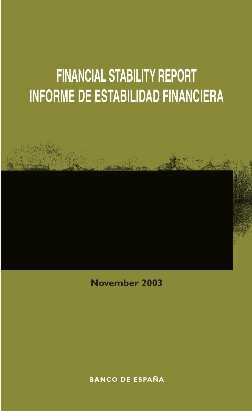# **FINANCIAL STABILITY REPORT INFORME DE ESTABILIDAD FINANCIERA**

**November 2003**

**BANCO DE ESPAÑA**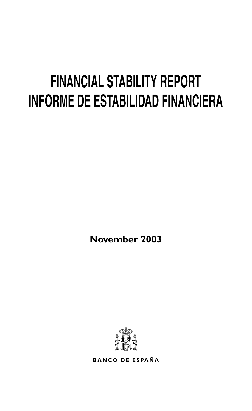# **FINANCIAL STABILITY REPORT INFORME DE ESTABILIDAD FINANCIERA**

**November 2003**



**BANCO DE ESPAÑA**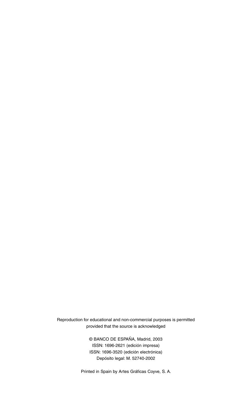Reproduction for educational and non-commercial purposes is permitted provided that the source is acknowledged

> © BANCO DE ESPAÑA, Madrid, 2003 ISSN: 1696-2621 (edición impresa) ISSN: 1696-3520 (edición electrónica) Depósito legal: M. 52740-2002

Printed in Spain by Artes Gráficas Coyve, S. A.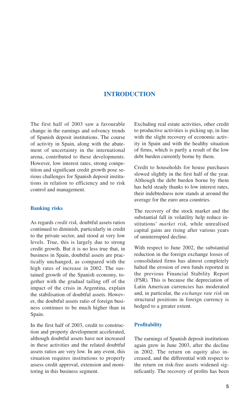# **INTRODUCTION**

The first half of 2003 saw a favourable change in the earnings and solvency trends of Spanish deposit institutions. The course of activity in Spain, along with the abatement of uncertainty in the international arena, contributed to these developments. However, low interest rates, strong competition and significant credit growth pose serious challenges for Spanish deposit institutions in relation to efficiency and to risk control and management.

# **Banking risks**

As regards *credit risk,* doubtful assets ratios continued to diminish, particularly in credit to the private sector, and stood at very low levels. True, this is largely due to strong credit growth. But it is no less true that, in business in Spain, doubtful assets are practically unchanged, as compared with the high rates of increase in 2002. The sustained growth of the Spanish economy, together with the gradual tailing off of the impact of the crisis in Argentina, explain the stabilisation of doubtful assets. However, the doubtful assets ratio of foreign business continues to be much higher than in Spain.

In the first half of 2003, credit to construction and property development accelerated, although doubtful assets have not increased in these activities and the related doubtful assets ratios are very low. In any event, this situation requires institutions to properly assess credit approval, extension and monitoring in this business segment.

Excluding real estate activities, other credit to productive activities is picking up, in line with the slight recovery of economic activity in Spain and with the healthy situation of firms, which is partly a result of the low debt burden currently borne by them.

Credit to households for house purchases slowed slightly in the first half of the year. Although the debt burden borne by them has held steady thanks to low interest rates, their indebtedness now stands at around the average for the euro area countries.

The recovery of the stock market and the substantial fall in volatility help reduce institutions' *market risk,* while unrealised capital gains are rising after various years of uninterrupted decline.

With respect to June 2002, the substantial reduction in the foreign exchange losses of consolidated firms has almost completely halted the erosion of own funds reported in the previous Financial Stability Report (FSR). This is because the depreciation of Latin American currencies has moderated and, in particular, the *exchange rate risk* on structural positions in foreign currency is hedged to a greater extent.

# **Profitability**

The earnings of Spanish deposit institutions again grew in June 2003, after the decline in 2002. The return on equity also increased, and the differential with respect to the return on risk-free assets widened significantly. The recovery of profits has been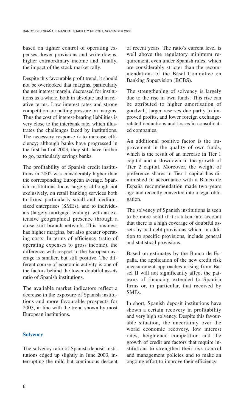based on tighter control of operating expenses, lower provisions and write-downs, higher extraordinary income and, finally, the impact of the stock market rally.

Despite this favourable profit trend, it should not be overlooked that margins, particularly the net interest margin, decreased for institutions as a whole, both in absolute and in relative terms. Low interest rates and strong competition are putting pressure on margins. Thus the cost of interest-bearing liabilities is very close to the interbank rate, which illustrates the challenges faced by institutions. The necessary response is to increase efficiency; although banks have progressed in the first half of 2003, they still have further to go, particularly savings banks.

The profitability of Spanish credit institutions in 2002 was considerably higher than the corresponding European average. Spanish institutions focus largely, although not exclusively, on retail banking services both to firms, particularly small and mediumsized enterprises (SMEs), and to individuals (largely mortgage lending), with an extensive geographical presence through a close-knit branch network. This business has higher margins, but also greater operating costs. In terms of efficiency (ratio of operating expenses to gross income), the difference with respect to the European average is smaller, but still positive. The different course of economic activity is one of the factors behind the lower doubtful assets ratio of Spanish institutions.

The available market indicators reflect a decrease in the exposure of Spanish institutions and more favourable prospects for 2003, in line with the trend shown by most European institutions.

# **Solvency**

The solvency ratio of Spanish deposit institutions edged up slightly in June 2003, interrupting the mild but continuous descent of recent years. The ratio's current level is well above the regulatory minimum requirement, even under Spanish rules, which are considerably stricter than the recommendations of the Basel Committee on Banking Supervision (BCBS).

The strengthening of solvency is largely due to the rise in own funds. This rise can be attributed to higher amortisation of goodwill, larger reserves due partly to improved profits, and lower foreign exchangerelated deductions and losses in consolidated companies.

An additional positive factor is the improvement in the quality of own funds, which is the result of an increase in Tier 1 capital and a slowdown in the growth of Tier 2 capital. Moreover, the weight of preference shares in Tier 1 capital has diminished in accordance with a Banco de España recommendation made two years ago and recently converted into a legal obligation.

The solvency of Spanish institutions is seen to be more solid if it is taken into account that there is a high coverage of doubtful assets by bad debt provisions which, in addition to specific provisions, include general and statistical provisions.

Based on estimates by the Banco de España, the application of the new credit risk measurement approaches arising from Basel II will not significantly affect the patterns of financing extended to Spanish firms or, in particular, that received by SMEs.

In short, Spanish deposit institutions have shown a certain recovery in profitability and very high solvency. Despite this favourable situation, the uncertainty over the world economic recovery, low interest rates, heightened competition and the growth of credit are factors that require institutions to strengthen their risk control and management policies and to make an ongoing effort to improve their efficiency.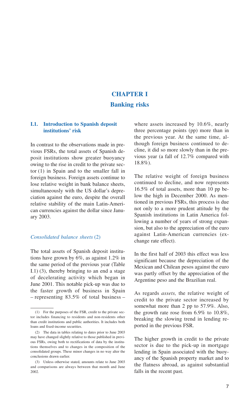# **CHAPTER I Banking risks**

# **I.1. Introduction to Spanish deposit institutions' risk**

In contrast to the observations made in previous FSRs, the total assets of Spanish deposit institutions show greater buoyancy owing to the rise in credit to the private sector (1) in Spain and to the smaller fall in foreign business. Foreign assets continue to lose relative weight in bank balance sheets, simultaneously with the US dollar's depreciation against the euro, despite the overall relative stability of the main Latin-American currencies against the dollar since January 2003.

# *Consolidated balance sheets* (2)

The total assets of Spanish deposit institutions have grown by 6%, as against 1.2% in the same period of the previous year (Table I.1) (3), thereby bringing to an end a stage of decelerating activity which began in June 2001. This notable pick-up was due to the faster growth of business in Spain – representing 83.5% of total business – where assets increased by 10.6%, nearly three percentage points (pp) more than in the previous year. At the same time, although foreign business continued to decline, it did so more slowly than in the previous year (a fall of 12.7% compared with 18.8%).

The relative weight of foreign business continued to decline, and now represents 16.5% of total assets, more than 10 pp below the high in December 2000. As mentioned in previous FSRs, this process is due not only to a more prudent attitude by the Spanish institutions in Latin America following a number of years of strong expansion, but also to the appreciation of the euro against Latin-American currencies (exchange rate effect).

In the first half of 2003 this effect was less significant because the depreciation of the Mexican and Chilean pesos against the euro was partly offset by the appreciation of the Argentine peso and the Brazilian real.

As regards *assets,* the relative weight of credit to the private sector increased by somewhat more than 2 pp to 57.9%. Also, the growth rate rose from 6.9% to 10.8%, breaking the slowing trend in lending reported in the previous FSR.

The higher growth in credit to the private sector is due to the pick-up in mortgage lending in Spain associated with the buoyancy of the Spanish property market and to the flatness abroad, as against substantial falls in the recent past.

<sup>(1)</sup> For the purposes of the FSR, credit to the private sector includes financing to residents and non-residents other than credit institutions and public authorities. It includes both loans and fixed-income securities.

<sup>(2)</sup> The data in tables relating to dates prior to June 2003 may have changed slightly relative to those published in previous FSRs, owing both to rectifications of data by the institutions themselves and to changes in the composition of the consolidated groups. These minor changes in no way alter the conclusions drawn earlier.

<sup>(3)</sup> Unless otherwise stated, amounts relate to June 2003 and comparisons are always between that month and June 2002.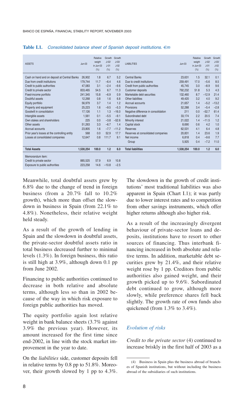| <b>ASSETS</b>                                 | $Jun-03$  | Relative<br>weight<br>in Jun-03<br>(%) | Growth<br>$J-02/$<br>$J-01$<br>(% ) | Growth<br>$J - 03/$<br>$J-02$<br>(%) | <b>LIABILITIES</b>                   | $Jun-03$  | <b>Relative</b><br>weight<br>in Jun-03<br>(% ) | Growth<br>$J - 02/$<br>$.1 - 01$<br>(% ) | Growth<br>$J - 0.3/$<br>$1 - 02$<br>(% ) |
|-----------------------------------------------|-----------|----------------------------------------|-------------------------------------|--------------------------------------|--------------------------------------|-----------|------------------------------------------------|------------------------------------------|------------------------------------------|
| Cash on hand and on deposit at Central Banks  | 26.902    | 1.8                                    | 6.7                                 | 5.2                                  | <b>Central Banks</b>                 | 23.631    | 1.5                                            | 32.1                                     | 0.1                                      |
| Due from credit institutions                  | 179.744   | 11.7                                   | $-6.4$                              | 4.6                                  | Due to credit institutions           | 259.491   | 17.0                                           | $-5.6$                                   | 8.5                                      |
| Credit to public authorities                  | 47.083    | 3.1                                    | $-2.4$                              | $-9.6$                               | Credit from public authorities       | 45.745    | 3.0                                            | $-8.9$                                   | 9.6                                      |
| Credit to private sector                      | 833.465   | 54.5                                   | 6.7                                 | 11.3                                 | Customer deposits                    | 792.232   | 51.8                                           | 5.3                                      | 4.3                                      |
| Fixed-income portfolio                        | 241.345   | 15.8                                   | $-6.9$                              | 0.9                                  | Marketable debt securities           | 132.460   | 8.7                                            | $-12.9$                                  | 21.4                                     |
| Doubtful assets                               | 12,268    | 0.8                                    | 1.6                                 | 6.8                                  | Other liabilities                    | 49,420    | 3.2                                            | 4.0                                      | 9.2                                      |
| Equity portfolio                              | 56.979    | 3.7                                    | 1.4                                 | 1.2                                  | Accrual accounts                     | 21.657    | 1.4                                            | $-5.2$                                   | $-13.2$                                  |
| Property and equipment                        | 25,223    | 1.6                                    | $-9.5$                              | $-5.3$                               | Provisions                           | 52.288    | 3.4                                            | $-5.4$                                   | $-2.8$                                   |
| Goodwill in consolidation                     | 17.126    | 1.1                                    | 1.3                                 | $-16.0$                              | Negative difference in consolidation | 211       | 0.0                                            | $-52.7$                                  | 61.4                                     |
| Intangible assets                             | 1.561     | 0.1                                    | $-5.5$                              | $-9.1$                               | Subordinated debt                    | 33.174    | 2.2                                            | 20.5                                     | 7.4                                      |
| Own stakes and shareholders                   | 225       | 0.0                                    | $-3.8$                              | $-52.6$                              | Minority interest                    | 21.022    | 1.4                                            | $-11.5$                                  | 1.2                                      |
| Other assets                                  | 51.263    | 3.3                                    | $-6.7$                              | 1.4                                  | Capital stock                        | 8.690     | 0.6                                            | 4.2                                      | 1.0                                      |
| Accrual accounts                              | 23.805    | 1.6                                    | $-7.7$                              | $-11.2$                              | Reserves                             | 62.531    | 4.1                                            | 6.4                                      | 4.8                                      |
| Prior year's losses at the controlling entity | 568       | 0.0                                    | 52.9                                | 17.7                                 | Reserves at consolidated companies   | 20.831    | 1.4                                            | 23.6                                     | 1.9                                      |
| Losses at consolidated companies              | 12.647    | 0.8                                    | 111.7                               | 9.1                                  | Net income                           | 6.818     | 0.4                                            | $-9.6$                                   | 7.7                                      |
|                                               |           |                                        |                                     |                                      | Group                                | 5.925     | 0.4                                            | $-7.2$                                   | 11.0                                     |
| <b>Total Assets</b>                           | 1,530,254 | 100.0                                  | 1.2                                 | 6.0                                  | <b>Total liabilities</b>             | 1,530,254 | 100.0                                          | 1.2                                      | 6.0                                      |
| Memorandum item:                              |           |                                        |                                     |                                      |                                      |           |                                                |                                          |                                          |
| Credit to private sector                      | 885.525   | 57.9                                   | 6.9                                 | 10.8                                 |                                      |           |                                                |                                          |                                          |
| Exposure to public authorities                | 223,258   | 14.6                                   | $-10.8$                             | $-2.5$                               |                                      |           |                                                |                                          |                                          |

### **Table I.1.** *Consolidated balance sheet of Spanish deposit institutions. €m*

Meanwhile, total doubtful assets grew by 6.8% due to the change of trend in foreign business (from a 20.7% fall to 10.2% growth), which more than offset the slowdown in business in Spain (from 22.1% to 4.8%). Nonetheless, their relative weight held steady.

As a result of the growth of lending in Spain and the slowdown in doubtful assets, the private-sector doubtful assets ratio in total business decreased further to minimal levels (1.3%). In foreign business, this ratio is still high at 3.9%, although down 0.1 pp from June 2002.

Financing to public authorities continued to decrease in both relative and absolute terms, although less so than in 2002 because of the way in which risk exposure to foreign public authorities has moved.

The equity portfolio again lost relative weight in bank balance sheets (3.7% against 3.9% the previous year). However, its amount increased for the first time since end-2002, in line with the stock market improvement in the year to date.

On the *liabilities* side, customer deposits fell in relative terms by 0.8 pp to 51.8%. Moreover, their growth slowed by 1 pp to 4.3%. The slowdown in the growth of credit institutions' most traditional liabilities was also apparent in Spain (Chart I.1); it was partly due to lower interest rates and to competition from other savings instruments, which offer higher returns although also higher risk.

As a result of the increasingly divergent behaviour of private-sector loans and deposits, institutions have to resort to other sources of financing. Thus interbank financing increased in both absolute and relative terms. In addition, marketable debt securities grew by 21.4%, and their relative weight rose by 1 pp. Creditors from public authorities also gained weight, and their growth picked up to 9.6%. Subordinated debt continued to grow, although more slowly, while preference shares fell back slightly. The growth rate of own funds also quickened (from 1.3% to 3.4%).

# *Evolution of risks*

*Credit to the private sector* (4) continued to increase briskly in the first half of 2003 as a

<sup>(4)</sup> Business in Spain plus the business abroad of branches of Spanish institutions, but without including the business abroad of the subsidiaries of such institutions.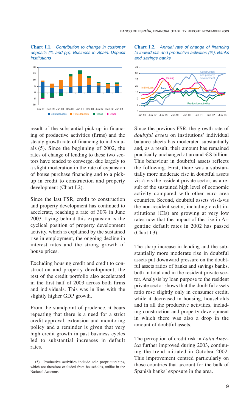**Chart I.1.** *Contribution to change in customer deposits (% and pp). Business in Spain. Deposit institutions*



result of the substantial pick-up in financing of productive activities (firms) and the steady growth rate of financing to individuals (5). Since the beginning of 2002, the rates of change of lending to these two sectors have tended to converge, due largely to a slight moderation in the rate of expansion of house purchase financing and to a pickup in credit to construction and property development (Chart I.2).

Since the last FSR, credit to construction and property development has continued to accelerate, reaching a rate of 30% in June 2003. Lying behind this expansion is the cyclical position of property development activity, which is explained by the sustained rise in employment, the ongoing decline in interest rates and the strong growth of house prices.

Excluding housing credit and credit to construction and property development, the rest of the credit portfolio also accelerated in the first half of 2003 across both firms and individuals. This was in line with the slightly higher GDP growth.

From the standpoint of prudence, it bears repeating that there is a need for a strict credit approval, extension and monitoring policy and a reminder is given that very high credit growth in past business cycles led to substantial increases in default rates.





Since the previous FSR, the growth rate of *doubtful assets* on institutions' individual balance sheets has moderated substantially and, as a result, their amount has remained practically unchanged at around €8 billion. This behaviour in doubtful assets reflects the following. First, there was a substantially more moderate rise in doubtful assets vis-à-vis the resident private sector, as a result of the sustained high level of economic activity compared with other euro area countries. Second, doubtful assets vis-à-vis the non-resident sector, including credit institutions (CIs) are growing at very low rates now that the impact of the rise in Argentine default rates in 2002 has passed (Chart I.3).

The sharp increase in lending and the substantially more moderate rise in doubtful assets put downward pressure on the doubtful assets ratios of banks and savings banks, both in total and in the resident private sector. Analysis by loan purpose to the resident private sector shows that the doubtful assets ratio rose slightly only in consumer credit, while it decreased in housing, households and in all the productive activities, including construction and property development in which there was also a drop in the amount of doubtful assets.

The perception of credit risk in *Latin America* further improved during 2003, continuing the trend initiated in October 2002. This improvement centred particularly on those countries that account for the bulk of Spanish banks' exposure in the area.

<sup>(5)</sup> Productive activities include sole proprietorships, which are therefore excluded from households, unlike in the National Accounts.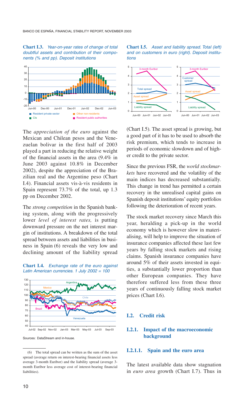### **Chart I.3.** *Year-on-year rates of change of total doubtful assets and contribution of their components (% and pp). Deposit institutions*



The *appreciation of the euro* against the Mexican and Chilean pesos and the Venezuelan bolivar in the first half of 2003 played a part in reducing the relative weight of the financial assets in the area (9.4% in June 2003 against 10.8% in December 2002), despite the appreciation of the Brazilian real and the Argentine peso (Chart I.4). Financial assets vis-à-vis residents in Spain represent 73.7% of the total, up 1.3 pp on December 2002.

The *strong competition* in the Spanish banking system, along with the progressively lower *level of interest rates,* is putting downward pressure on the net interest margin of institutions. A breakdown of the total spread between assets and liabilities in business in Spain (6) reveals the very low and declining amount of the liability spread





Sources: DataStream and in-house.





(Chart I.5). The asset spread is growing, but a good part of it has to be used to absorb the risk premium, which tends to increase in periods of economic slowdown and of higher credit to the private sector.

Since the previous FSR, the *world stockmarkets* have recovered and the volatility of the main indices has decreased substantially. This change in trend has permitted a certain recovery in the unrealised capital gains on Spanish deposit institutions' equity portfolios following the deterioration of recent years.

The stock market recovery since March this year, heralding a pick-up in the world economy which is however slow in materialising, will help to improve the situation of insurance companies affected these last few years by falling stock markets and rising claims. Spanish insurance companies have around 5% of their assets invested in equities, a substantially lower proportion than other European companies. They have therefore suffered less from these three years of continuously falling stock market prices (Chart I.6).

# **I.2. Credit risk**

# **I.2.1. Impact of the macroeconomic background**

### **I.2.1.1. Spain and the euro area**

The latest available data show stagnation in *euro area* growth (Chart I.7). Thus in

<sup>(6)</sup> The total spread can be written as the sum of the asset spread (average return on interest-bearing financial assets less average 3-month Euribor) and the liability spread (average 3 month Euribor less average cost of interest-bearing financial liabilities).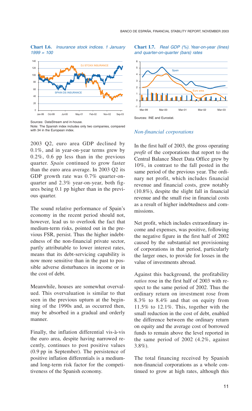**Chart I.6.** *Insurance stock indices. 1 January 1999 = 100*



Sources: DataStream and in-house.

2003 Q2, euro area GDP declined by 0.1%, and in year-on-year terms grew by 0.2%, 0.6 pp less than in the previous quarter. *Spain* continued to grow faster than the euro area average. In 2003 Q2 its GDP growth rate was 0.7% quarter-onquarter and 2.3% year-on-year, both figures being 0.1 pp higher than in the previous quarter.

The sound relative performance of Spain's economy in the recent period should not, however, lead us to overlook the fact that medium-term risks, pointed out in the previous FSR, persist. Thus the higher indebtedness of the non-financial private sector, partly attributable to lower interest rates, means that its debt-servicing capability is now more sensitive than in the past to possible adverse disturbances in income or in the cost of debt.

Meanwhile, houses are somewhat overvalued. This overvaluation is similar to that seen in the previous upturn at the beginning of the 1990s and, as occurred then, may be absorbed in a gradual and orderly manner.

Finally, the inflation differential vis-à-vis the euro area, despite having narrowed recently, continues to post positive values (0.9 pp in September). The persistence of positive inflation differentials is a mediumand long-term risk factor for the competitiveness of the Spanish economy.

### **Chart I.7.** *Real GDP (%). Year-on-year (lines) and quarter-on-quarter (bars) rates*



### *Non-financial corporations*

In the first half of 2003, the gross operating *profit* of the corporations that report to the Central Balance Sheet Data Office grew by 10%, in contrast to the fall posted in the same period of the previous year. The ordinary net profit, which includes financial revenue and financial costs, grew notably (10.8%), despite the slight fall in financial revenue and the small rise in financial costs as a result of higher indebtedness and commissions.

Net profit, which includes extraordinary income and expenses, was positive, following the negative figure in the first half of 2002 caused by the substantial net provisioning of corporations in that period, particularly the larger ones, to provide for losses in the value of investments abroad.

Against this background, the profitability *ratios* rose in the first half of 2003 with respect to the same period of 2002. Thus the ordinary return on investment rose from 8.3% to 8.4% and that on equity from 11.5% to 12.1%. This, together with the small reduction in the cost of debt, enabled the difference between the ordinary return on equity and the average cost of borrowed funds to remain above the level reported in the same period of 2002 (4.2%, against 3.8%).

The total financing received by Spanish non-financial corporations as a whole continued to grow at high rates, although this

Note: The Spanish index includes only two companies, compared with 34 in the European index.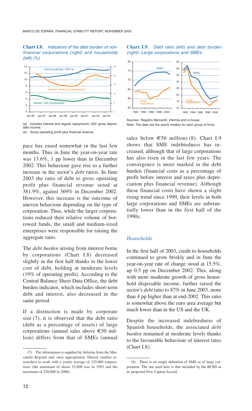### **Chart I.8.** *Indicators of the debt burden of nonfinancial corporations (right) and households (left) (%)*



(a) Includes interest and regular repayments. GDI: gross disposable income.

(b) Gross operating profit plus financial revenue.

pace has eased somewhat in the last few months. Thus in June the year-on-year rate was 13.6%, 1 pp lower than in December 2002. This behaviour gave rise to a further increase in the sector's *debt* ratios. In June 2003 the ratio of debt to gross operating profit plus financial revenue stood at 381.9%, against 369% in December 2002. However, this increase is the outcome of uneven behaviour depending on the type of corporation. Thus, while the larger corporations reduced their relative volume of borrowed funds, the small and medium-sized enterprises were responsible for raising the aggregate ratio.

The *debt burden* arising from interest borne by corporations (Chart I.8) decreased slightly in the first half thanks to the lower cost of debt, holding at moderate levels (19% of operating profit). According to the Central Balance Sheet Data Office, the debt burden indicator, which includes short-term debt and interest, also decreased in the same period.

If a distinction is made by corporate size (7), it is observed that the debt ratio (debt as a percentage of assets) of large corporations (annual sales above €50 million) differs from that of SMEs (annual

### **Chart I.9.** *Debt ratio (left) and debt burden (right). Large corporations and SMEs*



Sources: Registro Mercantil, Informa and in-house. Note: The data are the yearly median for each group of firms.

sales below  $\epsilon$ 50 million) (8). Chart I.9 shows that SME indebtedness has increased, although that of large corporations has also risen in the last few years. The convergence is more marked in the debt burden (financial costs as a percentage of profit before interest and taxes plus depreciation plus financial revenue). Although these financial costs have shown a slight rising trend since 1999, their levels in both large corporations and SMEs are substantially lower than in the first half of the 1990s.

# *Households*

In the first half of 2003, credit to households continued to grow briskly and in June the year-on-year rate of change stood at 15.5%, up 0.5 pp on December 2002. This, along with more moderate growth of gross household disposable income, further raised the sector's *debt* ratio to 87% in June 2003, more than 4 pp higher than at end-2002. This ratio is somewhat above the euro area average but much lower than in the US and the UK.

Despite the increased indebtedness of Spanish households, the associated *debt burden* remained at moderate levels thanks to the favourable behaviour of interest rates (Chart I.8).

<sup>(7)</sup> The information is supplied by Informa from the Mercantile Register and, once appropriately filtered, enables researchers to work with a yearly average of 125,000 corporations (the minimum of about 35,000 was in 1992 and the maximum of 220,000 in 2000).

<sup>(8)</sup> There is no single definition of SME or of large corporation. The one used here is that included by the BCBS in its proposed New Capital Accord.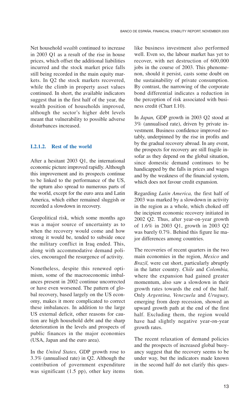Net household *wealth* continued to increase in 2003 Q1 as a result of the rise in house prices, which offset the additional liabilities incurred and the stock market price falls still being recorded in the main equity markets. In Q2 the stock markets recovered, while the climb in property asset values continued. In short, the available indicators suggest that in the first half of the year, the wealth position of households improved, although the sector's higher debt levels meant that vulnerability to possible adverse disturbances increased.

# **I.2.1.2. Rest of the world**

After a hesitant 2003 Q1, the international economic picture improved rapidly. Although this improvement and its prospects continue to be linked to the performance of the US, the upturn also spread to numerous parts of the world, except for the euro area and Latin America, which either remained sluggish or recorded a slowdown in recovery.

Geopolitical risk, which some months ago was a major source of uncertainty as to when the recovery would come and how strong it would be, tended to subside once the military conflict in Iraq ended. This, along with accommodative demand policies, encouraged the resurgence of activity.

Nonetheless, despite this renewed optimism, some of the macroeconomic imbalances present in 2002 continue uncorrected or have even worsened. The pattern of global recovery, based largely on the US economy, makes it more complicated to correct these imbalances. In addition to the large US external deficit, other reasons for caution are high household debt and the sharp deterioration in the levels and prospects of public finances in the major economies (USA, Japan and the euro area).

In the *United States,* GDP growth rose to 3.3% (annualised rate) in Q2. Although the contribution of government expenditure was significant (1.5 pp), other key items

like business investment also performed well. Even so, the labour market has yet to recover, with net destruction of 600,000 jobs in the course of 2003. This phenomenon, should it persist, casts some doubt on the sustainability of private consumption. By contrast, the narrowing of the corporate bond differential indicates a reduction in the perception of risk associated with business credit (Chart I.10).

In *Japan,* GDP growth in 2003 Q2 stood at 3% (annualised rate), driven by private investment. Business confidence improved notably, underpinned by the rise in profits and by the gradual recovery abroad. In any event, the prospects for recovery are still fragile insofar as they depend on the global situation, since domestic demand continues to be handicapped by the falls in prices and wages and by the weakness of the financial system, which does not favour credit expansion.

Regarding *Latin America,* the first half of 2003 was marked by a slowdown in activity in the region as a whole, which choked off the incipient economic recovery initiated in 2002 Q2. Thus, after year-on-year growth of 1.6% in 2003 Q1, growth in 2003 Q2 was barely 0.7%. Behind this figure lie major differences among countries.

The recoveries of recent quarters in the two main economies in the region, *Mexico* and *Brazil,* were cut short, particularly abruptly in the latter country. *Chile* and *Colombia,*  where the expansion had gained greater momentum, also saw a slowdown in their growth rates towards the end of the half. Only *Argentina, Venezuela* and *Uruguay,* emerging from deep recession, showed an upward growth path at the end of the first half. Excluding them, the region would have had slightly negative year-on-year growth rates.

The recent relaxation of demand policies and the prospects of increased global buoyancy suggest that the recovery seems to be under way, but the indicators made known in the second half do not clarify this question.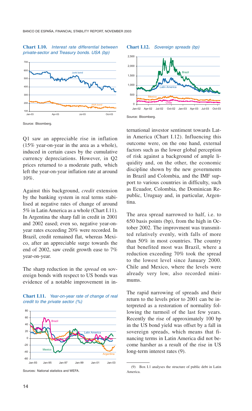### **Chart I.10.** *Interest rate differential between private-sector and Treasury bonds. USA (bp)*



**Chart I.12.** *Sovereign spreads (bp)*





Source: Bloomberg.

Q1 saw an appreciable rise in inflation (15% year-on-year in the area as a whole), induced in certain cases by the cumulative currency depreciations. However, in Q2 prices returned to a moderate path, which left the year-on-year inflation rate at around 10%.

Against this background, *credit* extension by the banking system in real terms stabilised at negative rates of change of around 5% in Latin America as a whole (Chart I.11). In Argentina the sharp fall in credit in 2001 and 2002 eased; even so, negative year-onyear rates exceeding 20% were recorded. In Brazil, credit remained flat, whereas Mexico, after an appreciable surge towards the end of 2002, saw credit growth ease to 7% year-on-year.

The sharp reduction in the *spread* on sovereign bonds with respect to US bonds was evidence of a notable improvement in in-



**Chart I.11.** *Year-on-year rate of change of real credit to the private sector (%)*

ternational investor sentiment towards Latin America (Chart I.12). Influencing this outcome were, on the one hand, external factors such as the lower global perception of risk against a background of ample liquidity and, on the other, the economic discipline shown by the new governments in Brazil and Colombia, and the IMF support to various countries in difficulty, such as Ecuador, Colombia, the Dominican Republic, Uruguay and, in particular, Argentina.

The area spread narrowed to half, i.e. to 650 basis points (bp), from the high in October 2002. The improvment was transmitted relatively evenly, with falls of more than 50% in most countries. The country that benefited most was Brazil, where a reduction exceeding 70% took the spread to the lowest level since January 2000. Chile and Mexico, where the levels were already very low, also recorded minimums.

The rapid narrowing of spreads and their return to the levels prior to 2001 can be interpreted as a restoration of normality following the turmoil of the last few years. Recently the rise of approximately 100 bp in the US bond yield was offset by a fall in sovereign spreads, which means that financing terms in Latin America did not become harsher as a result of the rise in US long-term interest rates (9).

Sources: National statistics and WEFA.

<sup>(9)</sup> Box I.1 analyses the structure of public debt in Latin America.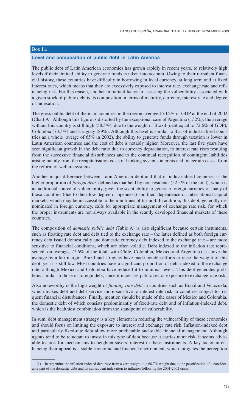# **Box I.1**

### **Level and composition of public debt in Latin America**

The public debt of Latin American economies has grown rapidly in recent years, to relatively high levels if their limited ability to generate funds is taken into account. Owing to their turbulent financial history, these countries have difficulty in borrowing in local currency, at long term and at fixed interest rates, which means that they are excessively exposed to interest rate, exchange rate and refinancing risk. For this reason, another important factor in assessing the vulnerability associated with a given stock of public debt is its composition in terms of maturity, currency, interest rate and degree of indexation.

The gross public debt of the main countries in the region averaged 70.2% of GDP at the end of 2002 (Chart A). Although this figure is distorted by the exceptional case of Argentina (152%), the average without this country is still high (58.5%), due to the weight of Brazil (debt equal to 72.6% of GDP), Colombia (73.3%) and Uruguay (89%). Although this level is similar to that of industrialised countries as a whole (averge of 65% in 2002), the ability to generate funds through taxation is lower in Latin American countries and the cost of debt is notably higher. Moreover, the last five years have seen significant growth in the debt ratio due to currency depreciation, to interest rate rises resulting from the successive financial disturbances and to the continual recognition of contingent liabilities arising mainly from the recapitalisation costs of banking systems in crisis and, in certain cases, from the reform of welfare systems.

Another major difference between Latin American debt and that of industrialised countries is the higher proportion of *foreign debt,* defined as that held by non-residents (52.5% of the total), which is an additional source of vulnerability, given the scant ability to generate foreign currency of many of these countries (due to their low degree of openness) and their dependence on international capital markets, which may be inaccessible to them in times of turmoil. In addition, this debt, generally denominated in foreign currency, calls for appropriate management of exchange rate risk, for which the proper instruments are not always available in the scantly developed financial markets of these countries.

The composition of *domestic public debt* (Table A) is also significant because certain instuments, such as floating rate debt and debt tied to the exchange rate – the latter defined as both foreign currency debt issued domestically and domestic currency debt indexed to the exchange rate – are more sensitive to financial conditions, which are often volatile. Debt indexed to the inflation rate represented, on average, 27.6% of the total, with Chile, Colombia, Mexico and Argentina (1) above the average by a fair margin. Brazil and Uruguay have made notable efforts to raise the weight of this debt, yet it is still low. Most countries have a significant proportion of debt indexed to the exchange rate, although Mexico and Colombia have reduced it to minimal levels. This debt generates problems similar to those of foreign debt, since it increases public sector exposure to exchange rate risk.

Also noteworthy is the high weight of *floating rate debt* in countries such as Brazil and Venezuela, which makes debt and debt service more sensitive to interest rate risk in countries subject to frequent financial disturbances. Finally, mention should be made of the cases of Mexico and Colombia, the domestic debt of which consists predominantly of fixed-rate debt and of inflation-indexed debt, which is the healthiest combination from the standpoint of vulnerability.

In sum, debt management strategy is a key element in reducing the vulnerability of these economies and should focus on limiting the exposure to interest and exchange rate risk. Inflation-indexed debt and particularly fixed-rate debt allow more predictable and stable financial management. Although agents tend to be reluctant to invest in this type of debt because it carries more risk, it seems advisable to look for mechanisms to heighten savers' interest in these instruments. A key factor in enhancing their appeal is a stable economic and financial environment, which mitigates the perception

<sup>(1)</sup> In Argentina the inflation-indexed debt rose from a zero weight to a 68.7% weight due to the pesoification of a considerable part of the domestic debt and its subsequent indexation to inflation following the 2001-2002 crisis.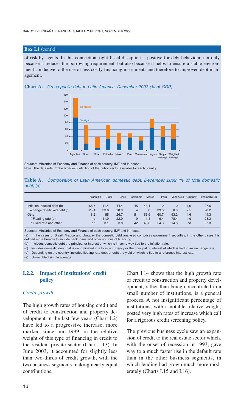# **Box I.1** (cont'd)

of risk by agents. In this connection, tight fiscal discipline is positive for debt behaviour, not only because it reduces the borrowing requirement, but also because it helps to ensure a stable environment conducive to the use of less costly financing instruments and therefore to improved debt management.





Sources: Ministries of Economy and Finance of each country, IMF and in-house. Note: The data refer to the broadest definition of the public sector available for each country.

**Table A.** *Composition of Latin American domestic debt. December 2002 (% of total domestic debt)* (a)

|                                                                                             | Argentina                 | <b>Brasil</b>              | Chile                        | Colombia                        | Méjico               | Perú                     |                                 | Venezuela Uruguay        | Promedio (e)                 |
|---------------------------------------------------------------------------------------------|---------------------------|----------------------------|------------------------------|---------------------------------|----------------------|--------------------------|---------------------------------|--------------------------|------------------------------|
| Inflation-indexed debt (b)<br>Exchange rate-linked debt (c)<br>Other<br>* Floating rate (d) | 68.7<br>25.1<br>6.2<br>nd | 11.4<br>33.6<br>55<br>41.9 | 44.4<br>28.9<br>26.7<br>22.9 | 45<br>$\overline{4}$<br>51<br>9 | 43.1<br>56.9<br>11.1 | 0<br>39.3<br>60.7<br>6.4 | $\Omega$<br>6.8<br>93.2<br>78.4 | 7.9<br>87.5<br>4.6<br>nd | 27.6<br>28.2<br>44.3<br>28.3 |
| * Fixed-rate and other                                                                      | nd                        | 3.1                        | 3.8                          | 42                              | 45.8                 | 54.3                     | 14.8                            | nd                       | 27.3                         |

Sources: Ministries of Economy and Finance of each country, IMF and in-house.

(a) In the cases of Brazil, Mexico and Uruguay the domestic debt analysed comprises government securities; in the other cases it is defined more broadly to include bank loans and other sources of financing.

(b) Includes domestic debt the principal or interest of which is in some way tied to the inflation rate.

(c) Includes domestic debt that is denominated in a foreign currency or the principal or interest of which is tied to an exchange rate.

(d) Depending on the country, includes floating-rate debt or debt the yield of which is tied to a reference interest rate.

(e) Unweighted simple average.

# **I.2.2. Impact of institutions' credit policy**

# *Credit growth*

The high growth rates of housing credit and of credit to construction and property development in the last few years (Chart I.2) have led to a progressive increase, more marked since mid-1999, in the relative weight of this type of financing in credit to the resident private sector (Chart I.13). In June 2003, it accounted for slightly less than two-thirds of credit growth, with the two business segments making nearly equal contributions.

Chart I.14 shows that the high growth rate of credit to construction and property development, rather than being concentrated in a small number of institutions, is a general process. A not insignificant percentage of institutions, with a notable relative weight, posted very high rates of increase which call for a rigorous credit screening policy.

The previous business cycle saw an expansion of credit to the real estate sector which, with the onset of recession in 1993, gave way to a much faster rise in the default rate than in the other business segments, in which lending had grown much more moderately (Charts I.15 and I.16).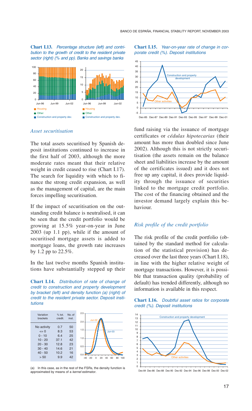**Chart I.13.** *Percentage structure (left) and contribution to the growth of credit to the resident private sector (right) (% and pp). Banks and savings banks*



*Asset securitisation*

The total assets securitised by Spanish deposit institutions continued to increase in the first half of 2003, although the more moderate rates meant that their relative weight in credit ceased to rise (Chart I.17). The search for liquidity with which to finance the strong credit expansion, as well as the management of capital, are the main forces impelling securitisation.

If the impact of securitisation on the outstanding credit balance is neutralised, it can be seen that the credit portfolio would be growing at 15.5% year-on-year in June 2003 (up 1.1 pp), while if the amount of securitised mortgage assets is added to mortgage loans, the growth rate increases by 1.2 pp to 22.5%.

In the last twelve months Spanish institutions have substantially stepped up their

**Chart I.14.** *Distribution of rate of change of credit to construction and property development by bracket (left) and density function (a) (right) of credit to the resident private sector. Deposit institutions*



(a) In this case, as in the rest of the FSRs, the density function is approximated by means of a *kernel* estimator*.*

### **Chart I.15.** *Year-on-year rate of change in corporate credit (%). Deposit institutions*



fund raising via the issuance of mortgage certificates or *cédulas hipotecarias* (their amount has more than doubled since June 2002). Although this is not strictly securitisation (the assets remain on the balance sheet and liabilities increase by the amount of the certificates issued) and it does not free up any capital, it does provide liquidity through the issuance of securities linked to the mortgage credit portfolio. The cost of the financing obtained and the investor demand largely explain this behaviour.

# *Risk profile of the credit portfolio*

The risk profile of the credit portfolio (obtained by the standard method for calculation of the statistical provision) has decreased over the last three years (Chart I.18), in line with the higher relative weight of mortgage transactions. However, it is possible that transaction quality (probability of default) has trended differently, although no information is available in this respect.





Dec-84 Dec-86 Dec-88 Dec-90 Dec-92 Dec-94 Dec-96 Dec-98 Dec-00 Dec-02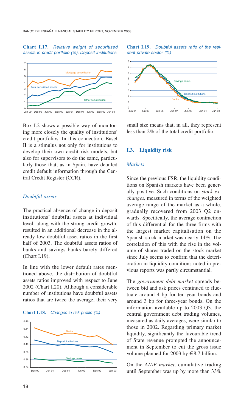### **Chart I.17.** *Relative weight of securitised assets in credit portfolio (%). Deposit institutions*



Box I.2 shows a possible way of monitoring more closely the quality of institutions' credit portfolios. In this connection, Basel II is a stimulus not only for institutions to develop their own credit risk models, but also for supervisors to do the same, particularly those that, as in Spain, have detailed credit default information through the Central Credit Register (CCR).

# *Doubtful assets*

The practical absence of change in deposit institutions' doubtful assets at individual level, along with the strong credit growth, resulted in an additional decrease in the already low doubtful asset ratios in the first half of 2003. The doubtful assets ratios of banks and savings banks barely differed (Chart I.19).

In line with the lower default rates mentioned above, the distribution of doubtful assets ratios improved with respect to June 2002 (Chart I.20). Although a considerable number of institutions have doubtful assets ratios that are twice the average, their very

### **Chart I.18.** *Changes in risk profile (%)*







small size means that, in all, they represent less than 2% of the total credit portfolio.

### **I.3. Liquidity risk**

### *Markets*

Since the previous FSR, the liquidity conditions on Spanish markets have been generally positive. Such conditions on *stock exchanges,* measured in terms of the weighted average range of the market as a whole, gradually recovered from 2003 Q2 onwards. Specifically, the average contraction of this differential for the three firms with the largest market capitalisation on the Spanish stock market was nearly 14%. The correlation of this with the rise in the volume of shares traded on the stock market since July seems to confirm that the deterioration in liquidity conditions noted in previous reports was partly circumstantial.

The *government debt market* spreads between bid and ask prices continued to fluctuate around 4 bp for ten-year bonds and around 3 bp for three-year bonds. On the information available up to 2003 Q3, the central government debt trading volumes, measured as daily averages, were similar to those in 2002. Regarding primary market liquidity, significantly the favourable trend of State revenue prompted the announcement in September to cut the gross issue volume planned for 2003 by  $\in$ 8.7 billion.

On the *AIAF market,* cumulative trading until September was up by more than 33%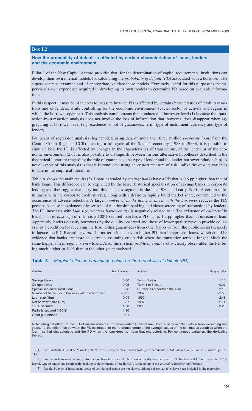# **Box I.2**

### **How the probability of default is affected by certain characteristics of loans, lenders and the economic environment**

Pillar 1 of the New Capital Accord provides that, for the determination of capital requirements, institutions can develop their own internal models for calculating the *probability of default (PD)* associated with a borrower. The supervisor must examine and, if appropriate, validate these models. Extremely useful for this purpose is the supervisor's own experience acquired in developing its own models to determine PD based on available information.

In this respect, it may be of interest to measure how the PD is affected by certain characteristics of credit transactions and of lenders, while controlling for the economic environment (cycle, sector of activity and region in which the borrower operates). This analysis complements that conducted at borrower level (1) because the transaction-by-transaction analysis does not involve the loss of information that, however, does disappear when aggregating at borrower level (e.g. existence or not of guarantees, term, type of instrument, currency and type of lender).

By means of regression analysis *(logit* model) using data on more than three million *corporate loans* from the Central Credit Register (CCR) covering a full cycle of the Spanish economy (1988 to 2000), it is possible to simulate how the PD is affected by changes in the characteristics of transactions, of the lender or of the economic environment (2). It is also possible to distinguish between various alternative hypotheses described in the theoretical literature (regarding the role of guarantees, the type of lender and the lender-borrower relationship). A novel aspect of this analysis is that it is conducted using an *ex post* measure of risk, unlike the *ex ante* variables to date in the empirical literature.

Table A shows the main results (3). Loans extended by *savings banks* have a PD that is 0.6 pp higher than that of bank loans. This difference can be explained by the lesser historical specialisation of savings banks in corporate lending and their aggressive entry into this business segment in the late 1980s and early 1990s. A certain unfamiliarity with the corporate credit market, along with a desire to rapidly build market share, contributed to the occurrence of adverse selection. A larger *number of banks doing business with the borrower* reduces the PD, perhaps because it evidences a lesser role of relationship banking and closer screening of transactions by lenders. The PD increases with *loan size,* whereas *borrower size* is negatively related to it. The existence of *collateral* in loans is an *ex post* sign of risk, i.e. a 100% secured loan has a PD that is 1.2 pp higher than an unsecured loan. Apparently lenders classify borrowers by the quality observed and those of lesser quality have to provide collateral as a condition for receiving the loan. Other guarantees (from other banks or from the public sector) scarcely influence the PD. Regarding *term,* shorter-term loans have a higher PD than longer-term loans, which could be evidence that banks are more selective in assuming credit risk when the transaction term is longer. Much the same happens in *foreign currency* loans. Also, the *cyclical profile of credit risk* is clearly observable, the PD being much higher in 1993 than in the other years analysed.

| Table A.<br>- Marginal effect in percentage points on the probability of default (PD) |                 |                                |                 |  |  |  |
|---------------------------------------------------------------------------------------|-----------------|--------------------------------|-----------------|--|--|--|
| Variable                                                                              | Marginal effect | Variable                       | Marginal effect |  |  |  |
| Savings banks                                                                         | 0.60            | Term $<$ 1 year                | 1.10            |  |  |  |
| Co-operatives                                                                         | 0.05            | Term 1 to 5 years              | 0.27            |  |  |  |
| Specialised credit institutions                                                       | 0.76            | Currencies other than the euro | $-2.13$         |  |  |  |
| Number of banks doing business with the borrower                                      | $-0.05$         | 1987                           | $-2.55$         |  |  |  |
| Loan size $(\epsilon m)$                                                              | 0.04            | 1990                           | $-2.46$         |  |  |  |
| Net borrower size $(\epsilon m)$                                                      | $-0.87$         | 1997                           | $-2.14$         |  |  |  |

### **Table A.** *Marginal effect in percentage points on the probability of default (PD)*

Partially secured (>50%) 1.90<br>Other quarantees 0.01

Other guarantees

Note: Marginal effect on the PD of an unsecured euro-denominated financial loan from a bank in 1993 with a term exceeding five years, i.e. the difference between the PD estimated for the reference group at the average values of the continuous variables when the<br>Ioan has that characteristic and the PD when the Ioan does not have that characteristic thereof.

100% secured 1.20 2000 –3.28

<sup>(1)</sup> See Trucharte, C. and A. Marcelo (2002): "Un sistema de clasificación *(rating)* de acreditados", *Estabilidad financiera,* n.º 2, marzo, pp. 93- 115.

<sup>(2)</sup> For the analysis methodology, information characteristics and robustness of results, see the paper by G. Jiménez and J. Saurina entitled "Collateral, type of lender and relationship banking as determinants of credit risk", forthcoming in the *Journal of Banking and Finance.*

<sup>(3)</sup> Results by type of instrument, sector of activity and region are not shown, although these variables have been included in the regression.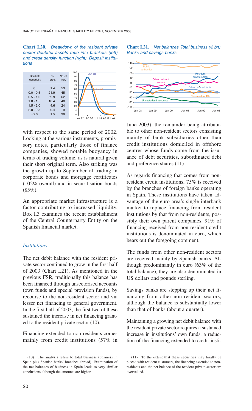**Chart I.20.** *Breakdown of the resident private sector doubtful assets ratio into brackets (left) and credit density function (right). Deposit institutions*



with respect to the same period of 2002. Looking at the various instruments, promissory notes, particularly those of finance companies, showed notable buoyancy in terms of trading volume, as is natural given their short original term. Also striking was the growth up to September of trading in corporate bonds and mortgage certificates (102% overall) and in securitisation bonds (85%).

An appropriate market infrastructure is a factor contributing to increased liquidity. Box I.3 examines the recent establishment of the Central Counterparty Entity on the Spanish financial market.

# *Institutions*

The net debit balance with the resident private sector continued to grow in the first half of 2003 (Chart I.21). As mentioned in the previous FSR, traditionally this balance has been financed through unsectorised accounts (own funds and special provision funds), by recourse to the non-resident sector and via lesser net financing to general government. In the first half of 2003, the first two of these sustained the increase in net financing granted to the resident private sector (10).

Financing extended to non-residents comes mainly from credit institutions (57% in





June 2003), the remainder being attributable to other non-resident sectors consisting mainly of bank subsidiaries other than credit institutions domiciled in offshore centres whose funds come from the issuance of debt securities, subordinated debt and preference shares (11).

As regards financing that comes from nonresident credit institutions, 75% is received by the branches of foreign banks operating in Spain. These institutions have taken advantage of the euro area's single interbank market to replace financing from resident institutions by that from non-residents, possibly their own parent companies. 91% of financing received from non-resident credit institutions is denominated in euro, which bears out the foregoing comment.

The funds from other non-resident sectors are received mainly by Spanish banks. Although predominantly in euro (63% of the total balance), they are also denominated in US dollars and pounds sterling.

Savings banks are stepping up their net financing from other non-resident sectors, although the balance is substantially lower than that of banks (about a quarter).

Maintaining a growing net debit balance with the resident private sector requires a sustained increase in institutions' own funds, a reduction of the financing extended to credit insti-

<sup>(10)</sup> The analysis refers to total business (business in Spain plus Spanish banks' branches abroad). Examination of the net balances of business in Spain leads to very similar conclusions although the amounts are higher.

<sup>(11)</sup> To the extent that these securities may finally be placed with resident customers, the financing extended to nonresidents and the net balance of the resident private sector are overvalued.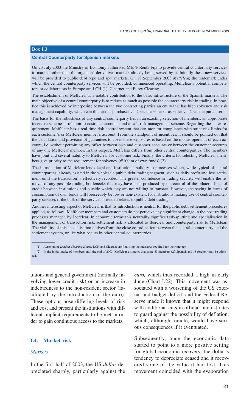# **Box I.3**

### **Central Counterparty for Spanish markets**

On 23 July 2003 the Ministry of Economy authorised MEFF Renta Fija to provide central counterparty services to markets other than the organised derivatives markets already being served by it. Initially these new services will be provided to public debt repo and spot markets. On 18 September 2003 *Meffclear,* the trademark under which the central counterparty services will be provided, commenced operating. Meffclear's potential competitors or collaborators in Europe are LCH (1), Clearnet and Eurex Clearing.

The establishment of Meffclear is a notable contribution to the basic infrastructure of the Spanish markets. The main objective of a central counterparty is to reduce as much as possible the counterparty risk in trading. In practice this is achieved by interposing between the two contracting parties an entity that has high solvency and risk management capability, which can thus act as purchaser vis-à-vis the seller or as seller vis-à-vis the purchaser.

The basis for the robustness of any central counterparty lies in an exacting selection of members, an appropriate incentive scheme in relation to customer accounts and a safe risk management scheme. Regarding the latter requirement, Meffclear has a real-time risk control system that can monitor compliance with strict risk limits for each customer's or Meffclear member's account. From the standpoint of incentives, it should be pointed out that the calculation and provision of guarantees to cover these exposures is based on the modus operandi of each account, i.e. without permitting any offset between own and customer accounts or between the customer accounts of any one Meffclear member. In this respect, Meffclear differs from other central counterparties. The members have joint and several liability to Meffclear for customer risk. Finally, the criteria for selecting Meffclear members give priority to the requirement for solvency  $(\text{\textsterling}100 \text{ m of own funds})$  (2).

The introduction of Meffclear lends legal and institutional solidity to processes which, while typical of central counterparties, already existed in the wholesale public debt trading segment, such as daily profit and loss settlement until the transaction is effectively recorded. The greater confidence in trading security will enable the removal of any possible trading bottlenecks that may have been produced by the control of the bilateral lines of credit between institutions and outside which they are not willing to transact. However, the saving in terms of consumption of own funds will foreseeably be low or non-existent for institutions making use of central counterparty services if the bulk of the services provided relates to public debt trading.

Another interesting aspect of Meffclear is that its introduction is neutral for the public debt settlement procedures applied, as follows: Meffclear members and customers do not perceive any significant change in the post-trading processes managed by Iberclear. In economic terms this neutrality signifies task-splitting and specialisation in the management of transaction risk: settlement risk is allocated to Iberclear and counterparty risk to Meffclear. The viability of this specialisation derives from the close co-ordination between the central counterparty and the settlement system, unlike what occurs in other central counterparties.

(1) Acronym of *London Clearing House.* LCH and Clearnet are finalising the measures required for their merger.

tutions and general government (normally involving lower credit risk) or an increase in indebtedness to the non-resident sector (facilitated by the introduction of the euro). These options pose differing levels of risk and cost and present the institutions with different implicit requirements to be met in order to gain continuous access to the markets.

# **I.4. Market risk**

### *Markets*

In the first half of 2003, the US *dollar* depreciated sharply, particularly against the

*euro,* which thus recorded a high in early June (Chart I.22). This movement was associated with a worsening of the US external and budget deficit, and the Federal Reserve made it known that it might respond with additional cuts in official interest rates to guard against the possibility of deflation, which, although remote, would have serious consequences if it eventuated.

Subsequently, once the economic data started to point to a more positive setting for global economic recovery, the dollar's tendency to depreciate ceased and it recovered some of the value it had lost. This movement coincided with the evaporation

<sup>(2)</sup> In the initial intake of members until the end of 2003, Meffclear estimates that some 45 members (27 Spanish and 18 foreign) may be admitted.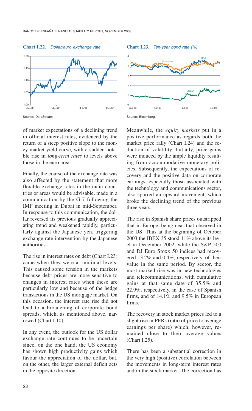### **Chart I.22.** *Dollar/euro exchange rate*



Source: DataStream.

of market expectations of a declining trend in official interest rates, evidenced by the return of a steep positive slope to the money market yield curve, with a sudden notable rise in *long-term rates* to levels above those in the euro area.

Finally, the course of the exchange rate was also affected by the statement that more flexible exchange rates in the main countries or areas would be advisable, made in a communication by the G-7 following the IMF meeting in Dubai in mid-September. In response to this communication, the dollar reversed its previous gradually appreciating trend and weakened rapidly, particularly against the Japanese yen, triggering exchange rate intervention by the Japanese authorities.

The rise in interest rates on debt (Chart I.23) came when they were at minimal levels. This caused some tension in the markets because debt prices are more sensitive to changes in interest rates when these are particularly low and because of the hedge transactions in the US mortgage market. On this occasion, the interest rate rise did not lead to a broadening of corporate bond spreads, which, as mentioned above, narrowed (Chart I.10).

In any event, the outlook for the US dollar exchange rate continues to be uncertain since, on the one hand, the US economy has shown high productivity gains which favour the appreciation of the dollar, but, on the other, the larger external deficit acts in the opposite direction.







Meanwhile, the *equity markets* put in a positive performance as regards both the market price rally (Chart I.24) and the reduction of volatility. Initially, price gains were induced by the ample liquidity resulting from accommodative monetary policies. Subsequently, the expectations of recovery and the positive data on corporate earnings, especially those associated with the technology and communications sector, also spurred an upward movement, which broke the declining trend of the previous three years.

The rise in Spanish share prices outstripped that in Europe, being near that observed in the US. Thus at the beginning of October 2003 the IBEX 35 stood 11% above its level in December 2002, while the S&P 500 and DJ Euro Stoxx 50 indices had recovered 13.2% and 0.4%, respectively, of their value in the same period. By sector, the most marked rise was in new technologies and telecommunications, with cumulative gains at that same date of 35.5% and 22.9%, respectively, in the case of Spanish firms, and of 14.1% and 9.5% in European firms.

The recovery in stock market prices led to a slight rise in PERs (ratio of price to average earnings per share) which, however, remained close to their average values (Chart I.25).

There has been a substantial correction in the very high (positive) correlation between the movements in long-term interest rates and in the stock market. The correction has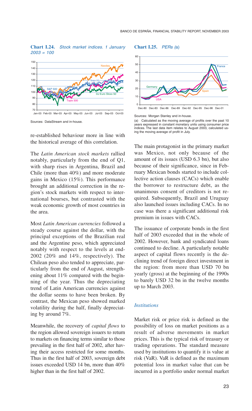**Chart I.24.** *Stock market indices. 1 January 2003 = 100*



Sources: DataStream and in-house.

re-established behaviour more in line with the historical average of this correlation.

The *Latin American stock markets* rallied notably, particularly from the end of Q1, with sharp rises in Argentina, Brazil and Chile (more than 40%) and more moderate gains in Mexico (15%). This performance brought an additional correction in the region's stock markets with respect to international bourses, but contrasted with the weak economic growth of most countries in the area.

Most *Latin American currencies* followed a steady course against the dollar, with the principal exceptions of the Brazilian real and the Argentine peso, which appreciated notably with respect to the levels at end-2002 (20% and 14%, respectively). The Chilean peso also tended to appreciate, particularly from the end of August, strengthening about 11% compared with the beginning of the year. Thus the depreciating trend of Latin American currencies against the dollar seems to have been broken. By contrast, the Mexican peso showed marked volatility during the half, finally depreciating by around 7%.

Meanwhile, the recovery of *capital flows* to the region allowed sovereign issuers to return to markets on financing terms similar to those prevailing in the first half of 2002, after having their access restricted for some months. Thus in the first half of 2003, sovereign debt issues exceeded USD 14 bn, more than 40% higher than in the first half of 2002.

**Chart I.25.** *PERs (*a)



Sources: Morgan Stanley and in-house.

(a) Calculated as the moving average of profits over the past 10 years expressed in constant monetary units using consumer price indices. The last data item relates to August 2003, calculated using the moving average of profit in July.

The main protagonist in the primary market was Mexico, not only because of the amount of its issues (USD 6.3 bn), but also because of their significance, since in February Mexican bonds started to include collective action clauses (CACs) which enable the borrower to restructure debt, as the unanimous consent of creditors is not required. Subsequently, Brazil and Uruguay also launched issues including CACs. In no case was there a significant additional risk premium in issues with CACs.

The issuance of corporate bonds in the first half of 2003 exceeded that in the whole of 2002. However, bank and syndicated loans continued to decline. A particularly notable aspect of capital flows recently is the declining trend of foreign direct investment in the region: from more than USD 70 bn yearly (gross) at the beginning of the 1990s to barely USD 32 bn in the twelve months up to March 2003.

# *Institutions*

Market risk or price risk is defined as the possibility of loss on market positions as a result of adverse movements in market prices. This is the typical risk of treasury or trading operations. The standard measure used by institutions to quantify it is value at risk (VaR). VaR is defined as the maximum potential loss in market value that can be incurred in a portfolio under normal market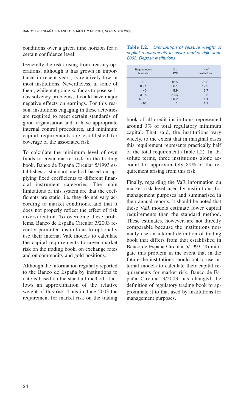conditions over a given time horizon for a certain confidence level.

Generally the risk arising from treasury operations, although it has grown in importance in recent years, is relatively low in most institutions. Nevertheless, in some of them, while not going so far as to pose serious solvency problems, it could have major negative effects on earnings. For this reason, institutions engaging in these activities are required to meet certain standards of good organisation and to have appropriate internal control procedures, and minimum capital requirements are established for coverage of the associated risk.

To calculate the minimum level of own funds to cover market risk on the trading book, Banco de España Circular 5/1993 establishes a standard method based on applying fixed coefficients to different financial instrument categories. The main limitations of this system are that the coefficients are static, i.e. they do not vary according to market conditions, and that it does not properly reflect the effect of risk diversification. To overcome these problems, Banco de España Circular 3/2003 recently permitted institutions to optionally use their internal VaR models to calculate the capital requirements to cover market risk on the trading book, on exchange rates and on commodity and gold positions.

Although the information regularly reported to the Banco de España by institutions to date is based on the standard method, it allows an approximation of the relative weight of this risk. Thus in June 2003 the requirement for market risk on the trading

**Table I.2.** *Distribution of relative weight of capital requirements to cover market risk. June 2003. Deposit institutions*

| Requirements<br>brackets | $%$ of<br><b>ATM</b> | $%$ of<br>institutions |
|--------------------------|----------------------|------------------------|
| $\Omega$                 | 12.5                 | 75.3                   |
| $0 - 1$                  | 26.1                 | 12.9                   |
| $1 - 3$                  | 8.9                  | 6.7                    |
| $3 - 5$                  | 31.3                 | 2.2                    |
| $5 - 10$                 | 20.2                 | 1.1                    |
| $>10$                    |                      | 1.7                    |

book of all credit institutions represented around 3% of total regulatory minimum capital. That said, the institutions vary widely, to the extent that in marginal cases this requirement represents practically half of the total requirement (Table I.2). In absolute terms, three institutions alone account for approximately 80% of the requirement arising from this risk.

Finally, regarding the VaR information on market risk level used by institutions for management purposes and summarised in their annual reports, it should be noted that these VaR models estimate lower capital requirements than the standard method. These estimates, however, are not directly comparable because the institutions normally use an internal definition of trading book that differs from that established in Banco de España Circular 5/1993. To mitigate this problem in the event that in the future the institutions should opt to use internal models to calculate their capital requirements for market risk, Banco de España Circular 3/2003 has changed the definition of regulatory trading book to approximate it to that used by institutions for management purposes.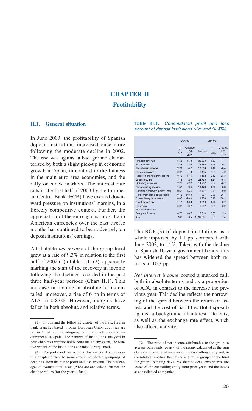# **CHAPTER II Profitability**

# **II.1. General situation**

In June 2003, the profitability of Spanish deposit institutions increased once more following the moderate decline in 2002. The rise was against a background characterised by both a slight pick-up in economic growth in Spain, in contrast to the flatness in the main euro area economies, and the rally on stock markets. The interest rate cuts in the first half of 2003 by the European Central Bank (ECB) have exerted downward pressure on institutions' margins, in a fiercely competitive context. Further, the appreciation of the euro against most Latin American currencies over the past twelve months has continued to bear adversely on deposit institutions' earnings.

Attributable *net income* at the group level grew at a rate of 9.3% in relation to the first half of 2002 (1) (Table II.1) (2), apparently marking the start of the recovery in income following the declines recorded in the past three half-year periods (Chart II.1). This increase in income in absolute terms entailed, moreover, a rise of 6 bp in terms of ATA to 0.83%. However, margins have fallen in both absolute and relative terms.

### **Table II.1.** *Consolidated profit and loss account of deposit institutions (€m and % ATA)*

|                                         | $JU - 02$                   |                             |           | $Jun-03$                    |                           |
|-----------------------------------------|-----------------------------|-----------------------------|-----------|-----------------------------|---------------------------|
|                                         | $\frac{1}{2}$<br><b>ATA</b> | Change<br>$.1.02 -$<br>J.01 | Amount    | $\frac{1}{2}$<br><b>ATA</b> | Change<br>$J.03-$<br>J.02 |
| Financial revenue                       | 5.58                        | $-15.3$                     | 32,838    | 4.69                        | $-14.7$                   |
| Financial costs                         | 2.88                        | $-28.0$                     | 15.780    | 2.26                        | $-20.7$                   |
| Net interest income                     | 2.70                        | 4.2                         | 17.059    | 2.44                        | $-8.4$                    |
| Net commissions                         | 0.98                        | $-1.6$                      | 6.495     | 0.93                        | $-4.2$                    |
| <b>Result on financial transactions</b> | 0.10                        | $-14.6$                     | 1.182     | 0.17                        | 63.3                      |
| <b>Gross income</b>                     | 3.79                        | 2.0                         | 24,735    | 3.54                        | $-5.3$                    |
| Operating expenses                      | 2.22                        | $-2.7$                      | 14.262    | 2.04                        | $-6.7$                    |
| Net operating income                    | 1.57                        | 9.4                         | 10.473    | 1.50                        | $-3.3$                    |
| Provisions and write-downs (net)        | 0.62                        | 15.4                        | 3.427     | 0.49                        | $-19.9$                   |
| Profits from group transactions         | 0.15                        | 143.8                       | 337       | 0.05                        | $-66.7$                   |
| Extraordinary income (net)              | 0.07                        | $-78.9$                     | 1,236     | 0.18                        | 138.2                     |
| Profit before tax                       | 1.17                        | $-10.8$                     | 8,619     | 1.23                        | 6.7                       |
| Net income                              | 0.92                        | $-9.2$                      | 6.707     | 0.96                        | 6.2                       |
| Memorandum item:                        |                             |                             |           |                             |                           |
| Group net income                        | 0.77                        | $-6.7$                      | 5.814     | 0.83                        | 9.3                       |
| <b>ATA</b>                              | 100                         | 3.5                         | 1.399.361 | 100                         | 1.4                       |

The ROE (3) of deposit institutions as a whole improved by 1.1 pp, compared with June 2002, to 14%. Taken with the decline in Spanish 10-year government bonds, this has widened the spread between both returns to 10.3 pp.

*Net interest income* posted a marked fall, both in absolute terms and as a proportion of ATA, in contrast to the increase the previous year. This decline reflects the narrowing of the spread between the return on assets and the cost of liabilities (total spread) against a background of interest rate cuts, as well as the exchange rate effect, which also affects activity.

<sup>(1)</sup> In this and the following chapter of the FSR, foreign bank branches based in other European Union countries are not included, as this sub-group is not subject to capital requirements in Spain. The number of institutions analysed in both chapters therefore holds constant. In any event, the relative weight of the institutions excluded is very small.

<sup>(2)</sup> The profit and loss accounts for analytical purposes in this chapter differs to some extent, in certain groupings of headings, from the public profit and loss account. The percentages of average total assets (ATA) are annualised, but not the absolute values (for the year to June).

<sup>(3)</sup> The ratio of net income attributable to the group to average own funds (equity) of the group, calculated as the sum of capital, the entered reserves of the controlling entity and, in consolidated entities, the net income of the group and the fund for general banking risks less shareholders, own shares, the losses of the controlling entity from prior years and the losses at consolidated companies.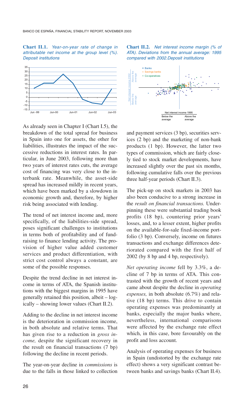### **Chart II.1.** *Year-on-year rate of change in attributable net income at the group level (%). Deposit institutions*



As already seen in Chapter I (Chart I.5), the breakdown of the total spread for business in Spain into one for assets, the other for liabilities, illustrates the impact of the successive reductions in interest rates. In particular, in June 2003, following more than two years of interest rates cuts, the average cost of financing was very close to the interbank rate. Meanwhile, the asset-side spread has increased mildly in recent years, which have been marked by a slowdown in economic growth and, therefore, by higher risk being associated with lending.

The trend of net interest income and, more specifically, of the liabilities-side spread, poses significant challenges to institutions in terms both of profitability and of fundraising to finance lending activity. The provision of higher value added customer services and product differentiation, with strict cost control always a constant, are some of the possible responses.

Despite the trend decline in net interest income in terms of ATA, the Spanish institutions with the biggest margins in 1995 have generally retained this position, albeit – logically – showing lower values (Chart II.2).

Adding to the decline in net interest income is the deterioration in commission income, in both absolute and relative terms. That has given rise to a reduction in *gross income,* despite the significant recovery in the result on financial transactions (7 bp) following the decline in recent periods.

The year-on-year decline in *commissions* is due to the falls in those linked to collection





and payment services (3 bp), securities services (2 bp) and the marketing of non-bank products (1 bp). However, the latter two types of commission, which are fairly closely tied to stock market developments, have increased slightly over the past six months, following cumulative falls over the previous three half-year periods (Chart II.3).

The pick-up on stock markets in 2003 has also been conducive to a strong increase in the *result on financial transactions.* Underpinning these were substantial trading book profits (18 bp), countering prior years' losses, and, to a lesser extent, higher profits on the available-for-sale fixed-income portfolio (3 bp). Conversely, income on futures transactions and exchange differences deteriorated compared with the first half of 2002 (by 8 bp and 4 bp, respectively).

*Net operating income* fell by 3.3%, a decline of 7 bp in terms of ATA. This contrasted with the growth of recent years and came about despite the decline in *operating expenses,* in both absolute (6.7%) and relative (18 bp) terms. This drive to contain operating expenses was predominantly at banks, especially the major banks where, nevertheless, international comparisons were affected by the exchange rate effect which, in this case, bore favourably on the profit and loss account.

Analysis of operating expenses for business in Spain (undistorted by the exchange rate effect) shows a very significant contrast between banks and savings banks (Chart II.4).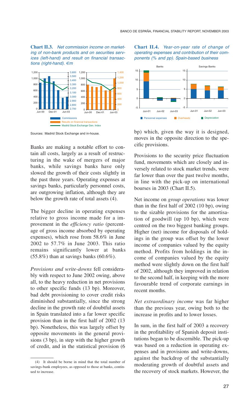**Chart II.3.** *Net commission income on marketing of non-bank products and on securities services (left-hand) and result on financial transactions (right-hand). €m*



Sources: Madrid Stock Exchange and in-house.

Banks are making a notable effort to contain all costs, largely as a result of restructuring in the wake of mergers of major banks, while savings banks have only slowed the growth of their costs slightly in the past three years. Operating expenses at savings banks, particularly personnel costs, are outgrowing inflation, although they are below the growth rate of total assets (4).

The bigger decline in operating expenses relative to gross income made for a improvement in the *efficiency ratio* (percentage of gross income absorbed by operating expenses), which rose from 58.6% in June 2002 to 57.7% in June 2003. This ratio remains significantly lower at banks  $(55.8\%)$  than at savings banks  $(60.6\%).$ 

*Provisions and write-downs* fell considerably with respect to June 2002 owing, above all, to the heavy reduction in net provisions to other specific funds (13 bp). Moreover, bad debt provisioning to cover credit risks diminished substantially, since the strong decline in the growth rate of doubtful assets in Spain translated into a far lower specific provision than in the first half of 2002 (13 bp). Nonetheless, this was largely offset by opposite movements in the general provisions (3 bp), in step with the higher growth of credit, and in the statistical provision (6





bp) which, given the way it is designed, moves in the opposite direction to the specific provisions.

Provisions to the security price fluctuation fund, movements which are closely and inversely related to stock market trends, were far lower than over the past twelve months, in line with the pick-up on international bourses in 2003 (Chart II.5).

Net income on *group operations* was lower than in the first half of 2002 (10 bp), owing to the sizable provisions for the amortisation of goodwill (up 10 bp), which were centred on the two biggest banking groups. Higher (net) income for disposals of holdings in the group was offset by the lower income of companies valued by the equity method. Profits from holdings in the income of companies valued by the equity method were slightly down on the first half of 2002, although they improved in relation to the second half, in keeping with the more favourable trend of corporate earnings in recent months.

*Net extraordinary income* was far higher than the previous year, owing both to the increase in profits and to lower losses.

In sum, in the first half of 2003 a recovery in the profitability of Spanish deposit institutions began to be discernible. The pick-up was based on a reduction in operating expenses and in provisions and write-downs, against the backdrop of the substantially moderating growth of doubtful assets and the recovery of stock markets. However, the

<sup>(4)</sup> It should be borne in mind that the total number of savings-bank employees, as opposed to those at banks, continued to increase.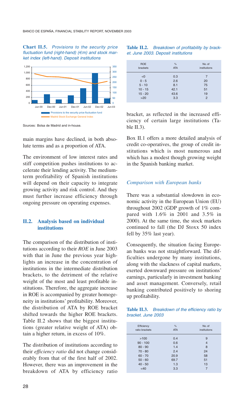### **Chart II.5.** *Provisions to the security price fluctuation fund (right-hand) (€m) and stock market index (left-hand). Deposit institutions*



Sources: Bolsa de Madrid and in-house.

main margins have declined, in both absolute terms and as a proportion of ATA.

The environment of low interest rates and stiff competition pushes institutions to accelerate their lending activity. The mediumterm profitability of Spanish institutions will depend on their capacity to integrate growing activity and risk control. And they must further increase efficiency through ongoing pressure on operating expenses.

# **II.2. Analysis based on individual institutions**

The comparison of the distribution of institutions according to their *ROE* in June 2003 with that in June the previous year highlights an increase in the concentration of institutions in the intermediate distribution brackets, to the detriment of the relative weight of the most and least profitable institutions. Therefore, the aggregate increase in ROE is accompanied by greater homogeneity in institutions' profitability. Moreover, the distribution of ATA by ROE bracket shifted towards the higher ROE brackets. Table II.2 shows that the biggest institutions (greater relative weight of ATA) obtain a higher return, in excess of 10%.

The distribution of institutions according to their *efficiency ratio* did not change considerably from that of the first half of 2002. However, there was an improvement in the breakdown of ATA by efficiency ratio

# **Table II.2.** *Breakdown of profitability by bracket. June 2003. Deposit institutions*

| <b>ROE</b><br>brackets | $\frac{9}{6}$<br><b>ATA</b> | No. of<br>institutions |
|------------------------|-----------------------------|------------------------|
| < 0                    | 0.3                         | 7                      |
| $0 - 5$                | 2.6                         | 20                     |
| $5 - 10$               | 8.1                         | 75                     |
| $10 - 15$              | 42.1                        | 51                     |
| $15 - 20$              | 43.6                        | 19                     |
| $>20$                  | 3.3                         | $\overline{2}$         |

bracket, as reflected in the increased efficiency of certain large institutions (Table  $II.3$ ).

Box II.1 offers a more detailed analysis of credit co-operatives, the group of credit institutions which is most numerous and which has a modest though growing weight in the Spanish banking market.

# *Comparison with European banks*

There was a substantial slowdown in economic activity in the European Union (EU) throughout 2002 (GDP growth of 1% compared with 1.6% in 2001 and 3.5% in 2000). At the same time, the stock markets continued to fall (the DJ Stoxx 50 index fell by 35% last year).

Consequently, the situation facing European banks was not straightforward. The difficulties undergone by many institutions, along with the slackness of capital markets, exerted downward pressure on institutions' earnings, particularly in investment banking and asset management. Conversely, retail banking contributed positively to shoring up profitability.

|                    | Table II.3. Breakdown of the efficiency ratio by |  |
|--------------------|--------------------------------------------------|--|
| bracket. June 2003 |                                                  |  |

| Efficiency<br>ratio brackets | %<br><b>ATA</b> | No. of<br>institutions |
|------------------------------|-----------------|------------------------|
| >100                         | 0.4             | 9                      |
| $90 - 100$                   | 0.6             | $\overline{4}$         |
| $80 - 90$                    | 1.4             | 8                      |
| $70 - 80$                    | 2.4             | 24                     |
| $60 - 70$                    | 20.9            | 58                     |
| $50 - 60$                    | 69.7            | 51                     |
| $40 - 50$                    | 1.3             | 13                     |
| <40                          | 3.3             | 7                      |
|                              |                 |                        |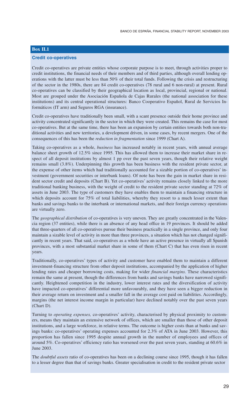# **Box II.1**

# **Credit co-operatives**

Credit co-operatives are private entities whose corporate purpose is to meet, through activities proper to credit institutions, the financial needs of their members and of third parties, although overall lending operations with the latter must be less than 50% of their total funds. Following the crisis and restructuring of the sector in the 1980s, there are 84 credit co-operatives (78 rural and 6 non-rural) at present. Rural co-operatives can be classified by their geographical location as local, provincial, regional or national. Most are grouped under the Asociación Española de Cajas Rurales (the national association for these institutions) and its central operational structures: Banco Cooperativo Español, Rural de Servicios Informáticos (IT arm) and Seguros RGA (insurance).

Credit co-operatives have traditionally been small, with a scant presence outside their home province and activity concentrated significantly in the sector in which they were created. This remains the case for most co-operatives. But at the same time, there has been an expansion by certain entities towards both non-traditional activities and new territories, a development driven, in some cases, by recent mergers. One of the consequences of this has been the *reduction in fragmentation* since 1999 (Chart A).

Taking co-operatives as a whole, *business* has increased notably in recent years, with annual average balance sheet growth of 12.5% since 1995. This has allowed them to increase their market share in respect of all deposit institutions by almost 1 pp over the past seven years, though their relative weight remains small (3.8%). Underpinning this growth has been business with the resident private sector, at the expense of other items which had traditionally accounted for a sizable portion of co-operatives' investment (government securities or interbank loans). Of note has been the gain in market share in resident sector credit and deposits (Chart B). Yet co-operatives' activity remains closely linked to the more traditional banking business, with the weight of credit to the resident private sector standing at 72% of assets in June 2003. The type of customers they have enables them to maintain a financing structure in which deposits account for 75% of total liabilities, whereby they resort to a much lesser extent than banks and savings banks to the interbank or international markets, and their foreign currency operations are virtually zero.

The *geographical distribution* of co-operatives is very uneven. They are greatly concentrated in the Valencia region (37 entities), while there is an absence of any head office in 19 provinces. It should be added that three-quarters of all co-operatives pursue their business practically in a single province, and only four maintain a sizable level of activity in more than three provinces, a situation which has not changed significantly in recent years. That said, co-operatives as a whole have an active presence in virtually all Spanish provinces, with a most substantial market share in some of them (Chart C) that has even risen in recent years.

Traditionally, co-operatives' types of activity and customer have enabled them to maintain a different investment-financing structure from other deposit institutions, accompanied by the application of higher lending rates and cheaper borrowing costs, making for wider *financial margins.* These characteristics remain the same at present, though the differences from banks and savings banks have narrowed significantly. Heightened competition in the industry, lower interest rates and the diversification of activity have impacted co-operatives' differential more unfavourably, and they have seen a bigger reduction in their average return on investment and a smaller fall in the average cost paid on liabilities. Accordingly, margins (the net interest income margin in particular) have declined notably over the past seven years (Chart D).

Turning to *operating expenses,* co-operatives' activity, characterised by physical proximity to customers, means they maintain an extensive network of offices, which are smaller than those of other deposit institutions, and a large workforce, in relative terms. The outcome is higher costs than at banks and savings banks: co-operatives' operating expenses accounted for 2.3% of ATA in June 2003. However, this proportion has fallen since 1995 despite annual growth in the number of employees and offices of around 5%. Co-operatives' efficiency ratio has worsened over the past seven years, standing at 60.6% in June 2003.

The *doubtful assets* ratio of co-operatives has been on a declining course since 1995, though it has fallen to a lesser degree than that of savings banks. Greater specialisation in credit to the resident private sector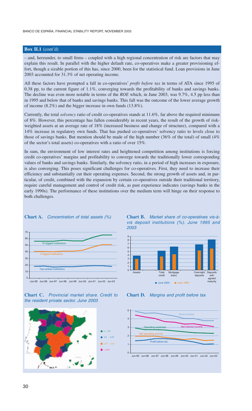# **Box II.1** (cont'd)

– and, hereunder, to small firms – coupled with a high regional concentration of risk are factors that may explain this result. In parallel with the higher default rate, co-operatives make a greater provisioning effort, though a sizable portion of this has, since 2000, been for the statistical fund. Loan provisions in June 2003 accounted for 31.3% of net operating income.

All these factors have prompted a fall in co-operatives' *profit before tax* in terms of ATA since 1995 of 0.38 pp, to the current figure of 1.1%, converging towards the profitability of banks and savings banks. The decline was even more notable in terms of the *ROE* which, in June 2003, was 9.7%, 4.5 pp less than in 1995 and below that of banks and savings banks. This fall was the outcome of the lower average growth of income (8.2%) and the bigger increase in own funds (13.8%).

Currently, the total *solvency* ratio of credit co-operatives stands at 11.6%, far above the required minimum of 8%. However, this percentage has fallen considerably in recent years, the result of the growth of riskweighted assets at an average rate of 18% (increased business and change of structure), compared with a 14% increase in regulatory own funds. That has pushed co-operatives' solvency ratio to levels close to those of savings banks. But mention should be made of the high number (36% of the total) of small (4% of the sector's total assets) co-operatives with a ratio of over 15%.

In sum, the environment of low interest rates and heightened competition among institutions is forcing credit co-operatives' margins and profitability to converge towards the traditionally lower corresponding values of banks and savings banks. Similarly, the solvency ratio, in a period of high increases in exposure, is also converging. This poses significant challenges for co-operatives. First, they need to increase their efficiency and substantially cut their operating expenses. Second, the strong growth of assets and, in particular, of credit, combined with the expansion by certain co-operatives outside their traditional territory, require careful management and control of credit risk, as past experience indicates (savings banks in the early 1990s). The performance of these institutions over the medium term will hinge on their response to both challenges.



### **Chart A.** *Concentration of total assets (%)*









**Chart D.** *Margins and profit before tax*

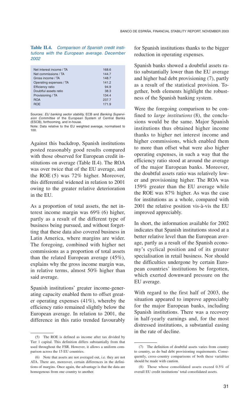**Table II.4.** *Comparison of Spanish credit institutions with the European average. December 2002*

| Net interest income / TA<br>Net commissions / TA | 168.6<br>144.7 |
|--------------------------------------------------|----------------|
| Gross income / TA                                | 148.7          |
| Operating espenses / TA                          | 141.2          |
| <b>Efficiency ratio</b>                          | 94.9           |
| Doubtful assets ratio                            | 38.3           |
| Provisioning / TA                                | 134.4          |
| <b>ROA</b>                                       | 237.7          |
| <b>ROF</b>                                       | 171.9          |
|                                                  |                |

Sources: *EU banking sector stability,* ECB and *Banking Supervision Committee* of the European System of Central Banks (ESCB), forthcoming, and in-house.

Note: Data relative to the EU weighted average, normalised to 100.

Against this backdrop, Spanish institutions posted reasonably good results compared with those observed for European credit institutions on average (Table II.4). The ROA was over twice that of the EU average, and the ROE (5) was 72% higher. Moreover, this differential widened in relation to 2001 owing to the greater relative deterioration in the EU.

As a proportion of total assets, the net interest income margin was 69% (6) higher, partly as a result of the different type of business being pursued, and without forgetting that these data also covered business in Latin America, where margins are wider. The foregoing, combined with higher net commissions as a proportion of total assets than the related European average (45%), explains why the gross income margin was, in relative terms, almost 50% higher than said average.

Spanish institutions' greater income-generating capacity enabled them to offset greater operating expenses (41%), whereby the efficiency ratio remained slightly below the European average. In relation to 2001, the difference in this ratio trended favourably

for Spanish institutions thanks to the bigger reduction in operating expenses.

Spanish banks showed a doubtful assets ratio substantially lower than the EU average and higher bad debt provisioning (7), partly as a result of the statistical provision. Together, both elements highlight the robustness of the Spanish banking system.

Were the foregoing comparison to be confined to *large institutions* (8), the conclusions would be the same. Major Spanish institutions thus obtained higher income thanks to higher net interest income and higher commissions, which enabled them to more than offset what were also higher operating expenses, in such a way that the efficiency ratio stood at around the average of the major European banks. Moreover, the doubtful assets ratio was relatively lower and provisioning higher. The ROA was 159% greater than the EU average while the ROE was 87% higher. As was the case for institutions as a whole, compared with 2001 the relative position vis-à-vis the EU improved appreciably.

In short, the information available for 2002 indicates that Spanish institutions stood at a better relative level than the European average, partly as a result of the Spanish economy's cyclical position and of its greater specialisation in retail business. Nor should the difficulties undergone by certain European countries' institutions be forgotten, which exerted downward pressure on the EU average.

With regard to the first half of 2003, the situation appeared to improve appreciably for the major European banks, including Spanish institutions. There was a recovery in half-yearly earnings and, for the most distressed institutions, a substantial easing in the rate of decline.

<sup>(5)</sup> The ROE is defined as income after tax divided by Tier 1 capital. This definition differs substantially from that used throughout the FSR. However, it allows a uniform comparison across the 15 EU countries.

<sup>(6)</sup> Note that assets are not averaged out, i.e. they are not ATA. There are, moreover, certain differences in the definitions of margins. Once again, the advantage is that the data are homogenous from one country to another.

<sup>(7)</sup> The definition of doubtful assets varies from country to country, as do bad debt provisioning requirements. Consequently, cross-country comparisons of both these variables should be made with caution.

<sup>(8)</sup> Those whose consolidated assets exceed 0.5% of overall EU credit institutions' total consolidated assets.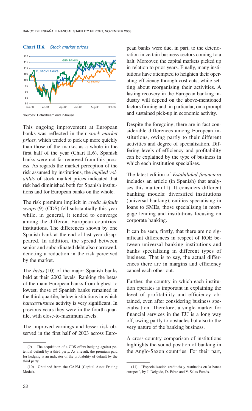

### **Chart II.6.** *Stock market prices*

Sources: DataStream and in-house.

This ongoing improvement at European banks was reflected in their *stock market prices,* which tended to pick up more quickly than those of the market as a whole in the first half of the year (Chart II.6). Spanish banks were not far removed from this process. As regards the market perception of the risk assumed by institutions, the *implied volatility* of stock market prices indicated that risk had diminished both for Spanish institutions and for European banks on the whole.

The risk premium implicit in *credit default swaps* (9) (CDS) fell substantially this year while, in general, it tended to converge among the different European countries' institutions. The differences shown by one Spanish bank at the end of last year disappeared. In addition, the spread between senior and subordinated debt also narrowed, denoting a reduction in the risk perceived by the market.

The *betas* (10) of the major Spanish banks held at their 2002 levels. Ranking the betas of the main European banks from highest to lowest, those of Spanish banks remained in the third quartile, below institutions in which *bancassurance* activity is very significant. In previous years they were in the fourth quartile, with close-to-maximum levels.

The improved earnings and lesser risk observed in the first half of 2003 across European banks were due, in part, to the deterioration in certain business sectors coming to a halt. Moreover, the capital markets picked up in relation to prior years. Finally, many institutions have attempted to heighten their operating efficiency through cost cuts, while setting about reorganising their activities. A lasting recovery in the European banking industry will depend on the above-mentioned factors firming and, in particular, on a prompt and sustained pick-up in economic activity.

Despite the foregoing, there are in fact considerable differences among European institutions, owing partly to their different activities and degree of specialisation. Differing levels of efficiency and profitability can be explained by the type of business in which each institution specialises.

The latest edition of *Estabilidad financiera* includes an article (in Spanish) that analyses this matter (11). It considers different banking models: diversified institutions (universal banking), entities specialising in loans to SMEs, those specialising in mortgage lending and institutions focusing on corporate banking.

It can be seen, firstly, that there are no significant differences in respect of ROE between universal banking institutions and banks specialising in different types of business. That is to say, the actual differences there are in margins and efficiency cancel each other out.

Further, the country in which each institution operates is important in explaining the level of profitability and efficiency obtained, even after considering business specialisation. Therefore, a single market for financial services in the EU is a long way off, owing partly to obstacles but also to the very nature of the banking business.

A cross-country comparison of institutions highlights the sound position of banking in the Anglo-Saxon countries. For their part,

<sup>(9)</sup> The acquisition of a CDS offers hedging against potential default by a third party. As a result, the premium paid for hedging is an indicator of the probability of default by the third party.

<sup>(10)</sup> Obtained from the CAPM (Capital Asset Pricing Model).

<sup>(11) &</sup>quot;Especialización crediticia y resultados en la banca europea", by J. Delgado, D. Pérez and V. Salas Fumás.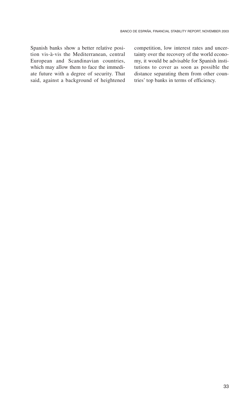Spanish banks show a better relative position vis-à-vis the Mediterranean, central European and Scandinavian countries, which may allow them to face the immediate future with a degree of security. That said, against a background of heightened

competition, low interest rates and uncertainty over the recovery of the world economy, it would be advisable for Spanish institutions to cover as soon as possible the distance separating them from other countries' top banks in terms of efficiency.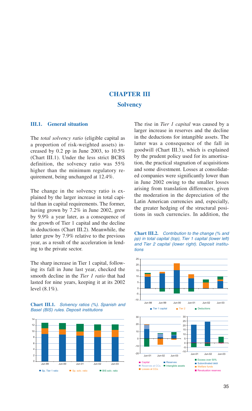# **CHAPTER III Solvency**

# **III.1. General situation**

The *total solvency ratio* (eligible capital as a proportion of risk-weighted assets) increased by 0.2 pp in June 2003, to 10.5% (Chart III.1). Under the less strict BCBS definition, the solvency ratio was 55% higher than the minimum regulatory requirement, being unchanged at 12.4%.

The change in the solvency ratio is explained by the larger increase in total capital than in capital requirements. The former, having grown by 7.2% in June 2002, grew by 9.9% a year later, as a consequence of the growth of Tier 1 capital and the decline in deductions (Chart III.2). Meanwhile, the latter grew by 7.9% relative to the previous year, as a result of the acceleration in lending to the private sector.

The sharp increase in Tier 1 capital, following its fall in June last year, checked the smooth decline in the *Tier 1 ratio* that had lasted for nine years, keeping it at its 2002 level (8.1%).





The rise in *Tier 1 capital* was caused by a larger increase in reserves and the decline in the deductions for intangible assets. The latter was a consequence of the fall in goodwill (Chart III.3), which is explained by the prudent policy used for its amortisation, the practical stagnation of acquisitions and some divestment. Losses at consolidated companies were significantly lower than in June 2002 owing to the smaller losses arising from translation differences, given the moderation in the depreciation of the Latin American currencies and, especially, the greater hedging of the structural positions in such currencies. In addition, the



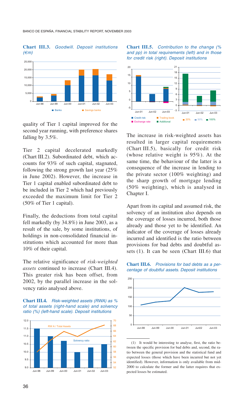### **Chart III.3.** *Goodwill. Deposit institutions (€m)*



quality of Tier 1 capital improved for the second year running, with preference shares falling by 3.5%.

Tier 2 capital decelerated markedly (Chart III.2). Subordinated debt, which accounts for 93% of such capital, stagnated, following the strong growth last year (25% in June 2002). However, the increase in Tier 1 capital enabled subordinated debt to be included in Tier 2 which had previously exceeded the maximum limit for Tier 2 (50% of Tier 1 capital).

Finally, the deductions from total capital fell markedly (by 34.8%) in June 2003, as a result of the sale, by some institutions, of holdings in non-consolidated financial institutions which accounted for more than 10% of their capital.

The relative significance of *risk-weighted assets* continued to increase (Chart III.4). This greater risk has been offset, from 2002, by the parallel increase in the solvency ratio analysed above.





### **Chart III.5.** *Contribution to the change (% and pp) in total requirements (left) and in those for credit risk (right). Deposit institutions*



The increase in risk-weighted assets has resulted in larger capital requirements (Chart III.5), basically for credit risk (whose relative weight is 95%). At the same time, the behaviour of the latter is a consequence of the increase in lending to the private sector (100% weighting) and the sharp growth of mortgage lending (50% weighting), which is analysed in Chapter I.

Apart from its capital and assumed risk, the solvency of an institution also depends on the coverage of losses incurred, both those already and those yet to be identified. An indicator of the coverage of losses already incurred and identified is the ratio between provisions for bad debts and doubtful assets (1). It can be seen (Chart III.6) that





<sup>(1)</sup> It would be interesting to analyse, first, the ratio between the specific provision for bad debts and, second, the ratio between the general provision and the statistical fund and expected losses (those which have been incurred but not yet identified). However, information is only available from mid-2000 to calculate the former and the latter requires that expected losses be estimated.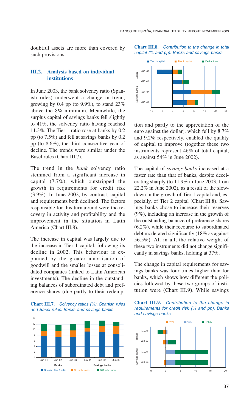doubtful assets are more than covered by such provisions.

# **III.2. Analysis based on individual institutions**

In June 2003, the bank solvency ratio (Spanish rules) underwent a change in trend, growing by 0.4 pp (to  $9.9\%$ ), to stand  $23\%$ above the 8% minimum. Meanwhile, the surplus capital of savings banks fell slightly to 41%, the solvency ratio having reached 11.3%. The Tier 1 ratio rose at banks by 0.2 pp (to 7.5%) and fell at savings banks by 0.2 pp (to 8.6%), the third consecutive year of decline. The trends were similar under the Basel rules (Chart III.7).

The trend in the *bank* solvency ratio stemmed from a significant increase in capital (7.7%), which outstripped the growth in requirements for credit risk (3.9%). In June 2002, by contrast, capital and requirements both declined. The factors responsible for this turnaround were the recovery in activity and profitability and the improvement in the situation in Latin America (Chart III.8).

The increase in capital was largely due to the increase in Tier 1 capital, following its decline in 2002. This behaviour is explained by the greater amortisation of goodwill and the smaller losses at consolidated companies (linked to Latin American investments). The decline in the outstanding balances of subordinated debt and preference shares (due partly to their redemp-

**Chart III.7.** *Solvency ratios (%). Spanish rules and Basel rules. Banks and savings banks*



**Chart III.8.** *Contribution to the change in total capital (% and pp). Banks and savings banks*



tion and partly to the appreciation of the euro against the dollar), which fell by 8.7% and 9.2% respectively, enabled the quality of capital to improve (together these two instruments represent 46% of total capital, as against 54% in June 2002).

The capital of *savings banks* increased at a faster rate than that of banks, despite decelerating sharply (to 11.9% in June 2003, from 22.2% in June 2002), as a result of the slowdown in the growth of Tier 1 capital and, especially, of Tier 2 capital (Chart III.8). Savings banks chose to increase their reserves (9%), including an increase in the growth of the outstanding balance of preference shares (6.2%), while their recourse to subordinated debt moderated significantly (18% as against 56.5%). All in all, the relative weight of these two instruments did not change significantly in savings banks, holding at 37%.

The change in capital requirements for savings banks was four times higher than for banks, which shows how different the policies followed by these two groups of institution were (Chart III.9). While savings



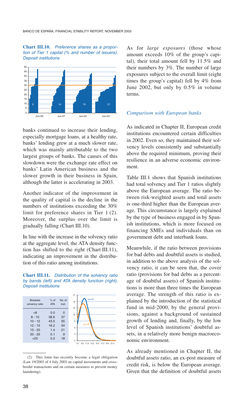**Chart III.10.** *Preference shares as a proportion of Tier 1 capital (% and number of issuers). Deposit institutions*



banks continued to increase their lending, especially mortgage loans, at a healthy rate, banks' lending grew at a much slower rate, which was mainly attributable to the two largest groups of banks. The causes of this slowdown were the exchange rate effect on banks' Latin American business and the slower growth in their business in Spain, although the latter is accelerating in 2003.

Another indicator of the improvement in the quality of capital is the decline in the numbers of institutions exceeding the 30% limit for preference shares in Tier 1 (2). Moreover, the surplus over the limit is gradually falling (Chart III.10).

In line with the increase in the solvency ratio at the aggregate level, the ATA density function has shifted to the right (Chart III.11), indicating an improvement in the distribution of this ratio among institutions.

**Chart III.11.** *Distribution of the solvency ratio by bands (left) and ATA density function (right). Deposit institutions*



(2) This limit has recently become a legal obligation (Law 19/2003 of 4 July 2003 on capital movements and crossborder transactions and on certain measures to prevent money laundering).

As for *large exposures* (those whose amount exceeds 10% of the group's capital), their total amount fell by 11.5% and their numbers by 3%. The number of large exposures subject to the overall limit (eight times the group's capital) fell by 4% from June 2002, but only by 0.5% in volume terms.

# *Comparison with European banks*

As indicated in Chapter II, European credit institutions encountered certain difficulties in 2002. Even so, they maintained their solvency levels consistently and substantially above the required minimum, proving their resilience in an adverse economic environment.

Table III.1 shows that Spanish institutions had total solvency and Tier 1 ratios slightly above the European average. The ratio between risk-weighted assets and total assets is one-third higher than the European average. This circumstance is largely explained by the type of business engaged in by Spanish institutions, which is more focused on financing SMEs and individuals than on government debt and interbank loans.

Meanwhile, if the ratio between provisions for bad debts and doubtful assets is studied, in addition to the above analysis of the solvency ratio, it can be seen that, the cover ratio (provisions for bad debts as a percentage of doubtful assets) of Spanish institutions is more than three times the European average. The strength of this ratio is explained by the introduction of the statistical fund in mid-2000, by the general provisions, against a background of sustained growth of lending and, finally, by the low level of Spanish institutions' doubtful assets, in a relatively more benign macroeconomic environment.

As already mentioned in Chapter II, the doubtful assets ratio, an ex-post measure of credit risk, is below the European average. Given that the definition of doubtful assets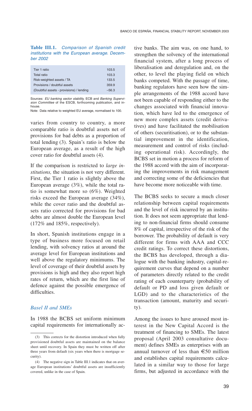**Table III.1.** *Comparison of Spanish credit institutions with the European average. December 2002*

| Tier 1 ratio                             | 103.5   |
|------------------------------------------|---------|
| Total ratio                              | 103.3   |
| Risk-weighted assets / TA                | 133.5   |
| Provisions / doubtful assets             | 359.9   |
| (Doubtful assets - provisions) / lending | $-56.3$ |
|                                          |         |

Sources: *EU banking sector stability,* ECB and *Banking Supervision Committee* of the ESCB, forthcoming publication, and inhouse.

Note: Data relative to weighted EU average, normalised to 100.

varies from country to country, a more comparable ratio is doubtful assets net of provisions for bad debts as a proportion of total lending (3). Spain's ratio is below the European average, as a result of the high cover ratio for doubtful assets (4).

If the comparison is restricted to *large institutions,* the situation is not very different. First, the Tier 1 ratio is slightly above the European average (3%), while the total ratio is somewhat more so (6%). Weighted risks exceed the European average (34%), while the cover ratio and the doubtful assets ratio corrected for provisions for bad debts are almost double the European level (172% and 185%, respectively).

In short, Spanish institutions engage in a type of business more focused on retail lending, with solvency ratios at around the average level for European institutions and well above the regulatory minimums. The level of coverage of their doubtful assets by provisions is high and they also report high rates of return, which are the first line of defence against the possible emergence of difficulties.

# *Basel II and SMEs*

In 1988 the BCBS set uniform minimum capital requirements for internationally active banks. The aim was, on one hand, to strengthen the solvency of the international financial system, after a long process of liberalisation and deregulation and, on the other, to level the playing field on which banks competed. With the passage of time, banking regulators have seen how the simple arrangements of the 1988 accord have not been capable of responding either to the changes associated with financial innovation, which have led to the emergence of new more complex assets (credit derivatives) and have facilitated the mobilisation of others (securitisation), or to the substantial improvement in the identification, measurement and control of risks (including operational risk). Accordingly, the BCBS set in motion a process for reform of the 1988 accord with the aim of incorporating the improvements in risk management and correcting some of the deficiencies that have become more noticeable with time.

The BCBS seeks to secure a much closer relationship between capital requirements and the level of risk incurred by an institution. It does not seem appropriate that lending to non-financial firms should consume 8% of capital, irrespective of the risk of the borrower. The probability of default is very different for firms with AAA and CCC credit ratings. To correct these distortions, the BCBS has developed, through a dialogue with the banking industry, capital-requirement curves that depend on a number of parameters directly related to the credit rating of each counterparty (probability of default or PD and loss given default or LGD) and to the characteristics of the transaction (amount, maturity and security).

Among the issues to have aroused most interest in the New Capital Accord is the treatment of financing to SMEs. The latest proposal (April 2003 consultative document) defines SMEs as enterprises with an annual turnover of less than €50 million and establishes capital requirements calculated in a similar way to those for large firms, but adjusted in accordance with the

<sup>(3)</sup> This corrects for the distortion introduced when fully provisioned doubtful assets are maintained on the balance sheet until recovery. In Spain they must be written off after three years from default (six years when there is mortgage security).

<sup>(4)</sup> The negative sign in Table III.1 indicates that on average European institutions' doubtful assets are insufficiently covered, unlike in the case of Spain.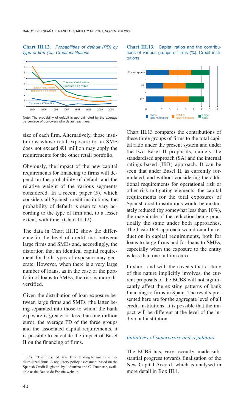### **Chart III.12.** *Probabilities of default (PD) by type of firm (%). Credit institutions*



Note: The probability of default is approximated by the average percentage of borrowers who default each year.

size of each firm. Alternatively, those institutions whose total exposure to an SME does not exceed  $\in$ 1 million may apply the requirements for the other retail portfolio.

Obviously, the impact of the new capital requirements for financing to firms will depend on the probability of default and the relative weight of the various segments considered. In a recent paper (5), which considers all Spanish credit institutions, the probability of default is seen to vary according to the type of firm and, to a lesser extent, with time. (Chart III.12).

The data in Chart III.12 show the difference in the level of credit risk between large firms and SMEs and, accordingly, the distortion that an identical capital requirement for both types of exposure may generate. However, when there is a very large number of loans, as in the case of the portfolio of loans to SMEs, the risk is more diversified.

Given the distribution of loan exposure between large firms and SMEs (the latter being separated into those to whom the bank exposure is greater or less than one million euro), the average PD of the three groups and the associated capital requirements, it is possible to calculate the impact of Basel II on the financing of firms.





Chart III.13 compares the contributions of these three groups of firms to the total capital ratio under the present system and under the two Basel II proposals, namely the standardised approach (SA) and the internal ratings-based (IRB) approach. It can be seen that under Basel II, as currently formulated, and without considering the additional requirements for operational risk or other risk-mitigating elements, the capital requirements for the total exposures of Spanish credit institutions would be moderately reduced (by somewhat less than 10%), the magnitude of the reduction being practically the same under both approaches. The basic IRB approach would entail a reduction in capital requirements, both for loans to large firms and for loans to SMEs, especially when the exposure to the entity is less than one million euro.

In short, and with the caveats that a study of this nature implicitly involves, the current proposals of the BCBS will not significantly affect the existing patterns of bank financing to firms in Spain. The results presented here are for the aggregate level of all credit institutions. It is possible that the impact will be different at the level of the individual institution.

# *Initiatives of supervisors and regulators*

The BCBS has, very recently, made substantial progress towards finalisation of the New Capital Accord, which is analysed in more detail in Box III.1.

<sup>(5) &</sup>quot;The impact of Basel II on lending to small and medium-sized firms. A regulatory policy assessment based on the Spanish Credit Register" by J. Saurina and C. Trucharte, available at the Banco de España website.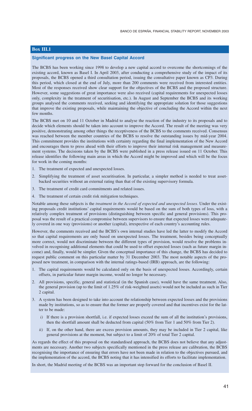# **Box III.1**

### **Significant progress on the New Basel Capital Accord**

The BCBS has been working since 1998 to develop a new capital accord to overcome the shortcomings of the existing accord, known as Basel I. In April 2003, after conducting a comprehensive study of the impact of its proposals, the BCBS opened a third consultation period, issuing the consultative paper known as CP3. During this period, which closed at the end of July, more than 200 comments were received from interested entities. Most of the responses received show clear support for the objectives of the BCBS and the proposed structure. However, some suggestions of great importance were also received (capital requirements for unexpected losses only, complexity in the treatment of securitisation, etc.). In August and September the BCBS and its working groups analysed the comments received, seeking and identifying the appropriate solution for those suggestions that improve the existing proposals, while maintaining the objective of concluding the Accord within the next few months.

The BCBS met on 10 and 11 October in Madrid to analyse the reaction of the industry to its proposals and to decide which elements should be taken into account to improve the Accord. The result of the meeting was very positive, demonstrating among other things the receptiveness of the BCBS to the comments received. Consensus was reached between the member countries of the BCBS to resolve the outstanding issues by mid-year 2004. This commitment provides the institutions with certainty regarding the final implementation of the New Accord and encourages them to press ahead with their efforts to improve their internal risk management and measurement systems. The decisions taken by the BCBS were published in a press release issued on 11 October. This release identifies the following main areas in which the Accord might be improved and which will be the focus for work in the coming months:

- 1. The treatment of expected and unexpected losses.
- 2. Simplifying the treatment of asset securitisation. In particular, a simpler method is needed to treat assetbacked securities without an external rating than that of the existing supervisory formula.
- 3. The treatment of credit card commitments and related issues.
- 4. The treatment of certain credit risk mitigation techniques.

Notable among these subjects is the *treatment in the Accord of expected and unexpected losses.* Under the existing proposals credit institutions' capital requirements would be based on the sum of both types of loss, with a relatively complex treatment of provisions (distinguishing between specific and general provisions). This proposal was the result of a practical compromise between supervisors to ensure that expected losses were adequately covered in one way (provisions) or another (capital), irrespective of each country's accounting rules.

However, the comments received and the BCBS's own internal studies have led the latter to modify the Accord so that capital requirements are only based on unexpected losses. The treatment, besides being conceptually more correct, would not discriminate between the different types of provision, would resolve the problems involved in recognising additional elements that could be used to offset expected losses (such as future margin income) and, finally, would be simpler. Given the conceptual importance of this change, the BCBS has decided to request public comment on this particular matter by 31 December 2003. The most notable aspects of the proposed new treatment, in comparison with the internal ratings-based (IRB) approach, are the following:

- 1. The capital requirements would be calculated only on the basis of unexpected losses. Accordingly, certain offsets, in particular future margin income, would no longer be necessary.
- 2. All provisions, specific, general and statistical (in the Spanish case), would have the same treatment. Also, the general provision (up to the limit of 1.25% of risk-weighted assets) would not be included as such in Tier 2 capital.
- 3. A system has been designed to take into account the relationship between expected losses and the provisions made by institutions, so as to ensure that the former are properly covered and that incentives exist for the latter to be made:
	- *i*) If there is a provision shortfall, i.e. if expected losses exceed the sum of all the institution's provisions, then the shortfall amount shall be deducted from capital (50% from Tier 1 and 50% from Tier 2).
	- *ii*) If, on the other hand, there are excess provision amounts, they may be included in Tier 2 capital, like general provisions at the moment, but subject to a limit of 20% of total Tier 2 capital.

As regards the effect of this proposal on the standardised approach, the BCBS does not believe that any adjustments are necessary. Another two subjects specifically mentioned in the press release are calibration, the BCBS recognising the importance of ensuring that errors have not been made in relation to the objectives pursued, and the implementation of the accord, the BCBS noting that it has intensified its efforts to facilitate implementation.

In short, the Madrid meeting of the BCBS was an important step forward for the conclusion of Basel II.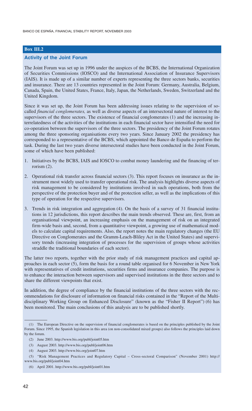BANCO DE ESPAÑA, FINANCIAL STABILITY REPORT, NOVEMBER 2003

# **Box III.2**

### **Activity of the Joint Forum**

The Joint Forum was set up in 1996 under the auspices of the BCBS, the International Organization of Securities Commissions (IOSCO) and the International Association of Insurance Supervisors (IAIS). It is made up of a similar number of experts representing the three sectors banks, securities and insurance. There are 13 countries represented in the Joint Forum: Germany, Australia, Belgium, Canada, Spain, the United States, France, Italy, Japan, the Netherlands, Sweden, Switzerland and the United Kingdom.

Since it was set up, the Joint Forum has been addressing issues relating to the supervision of socalled *financial conglomerates,* as well as diverse aspects of an intersectoral nature of interest to the supervisors of the three sectors. The existence of financial conglomerates (1) and the increasing interrelatedness of the activities of the institutions in each financial sector have intensified the need for co-operation between the supervisors of the three sectors. The presidency of the Joint Forum rotates among the three sponsoring organisations every two years. Since January 2002 the presidency has corresponded to a representative of the BCBS, which appointed the Banco de España to perform the task. During the last two years diverse intersectoral studies have been conducted in the Joint Forum, some of which have been published:

- 1. Initiatives by the BCBS, IAIS and IOSCO to combat money laundering and the financing of terrorism (2).
- 2. Operational risk transfer across financial sectors (3). This report focuses on insurance as the instrument most widely used to transfer operational risk. The analysis highlights diverse aspects of risk management to be considered by institutions involved in such operations, both from the perspective of the protection buyer and of the protection seller, as well as the implications of this type of operation for the respective supervisors.
- 3. Trends in risk integration and aggregation (4). On the basis of a survey of 31 financial institutions in 12 jurisdictions, this report describes the main trends observed. These are, first, from an organisational viewpoint, an increasing emphasis on the management of risk on an integrated firm-wide basis and, second, from a quantitative viewpoint, a growing use of mathematical models to calculate capital requirements. Also, the report notes the main regulatory changes (the EU Directive on Conglomerates and the Gramm-Leach-Bliley Act in the United States) and supervisory trends (increasing integration of processes for the supervision of groups whose activities straddle the traditional boundaries of each sector).

The latter two reports, together with the prior study of risk management practices and capital approaches in each sector (5), form the basis for a round table organised for 6 November in New York with representatives of credit institutions, securities firms and insurance companies. The purpose is to enhance the interaction between supervisors and supervised institutions in the three sectors and to share the different viewpoints that exist.

In addition, the degree of compliance by the financial institutions of the three sectors with the recommendations for disclosure of information on financial risks contained in the "Report of the Multidisciplinary Working Group on Enhanced Disclosure" (known as the "Fisher II Report") (6) has been monitored. The main conclusions of this analysis are to be published shortly.

<sup>(1)</sup> The European Directive on the supervision of financial conglomerates is based on the principles published by the Joint Forum. Since 1995, the Spanish legislation in this area (on non-consolidated mixed groups) also follows the principles laid down by the forum.

<sup>(2)</sup> June 2003. http://www.bis.org/publ/joint05.htm

<sup>(3)</sup> August 2003. http://www.bis.org/publ/joint06.htm

<sup>(4)</sup> August 2003. http://www.bis.org/joint07.htm

<sup>(5) &</sup>quot;Risk Management Practices and Regulatory Capital – Cross-sectoral Comparison" (November 2001) http:// www.bis.org/publ/joint04.htm

<sup>(6)</sup> April 2001. http://www.bis.org/publ/joint01.htm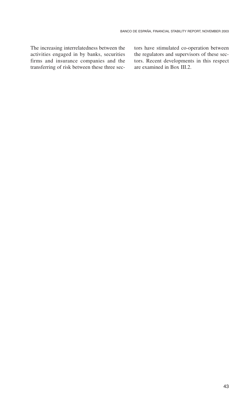The increasing interrelatedness between the activities engaged in by banks, securities firms and insurance companies and the transferring of risk between these three sectors have stimulated co-operation between the regulators and supervisors of these sectors. Recent developments in this respect are examined in Box III.2.